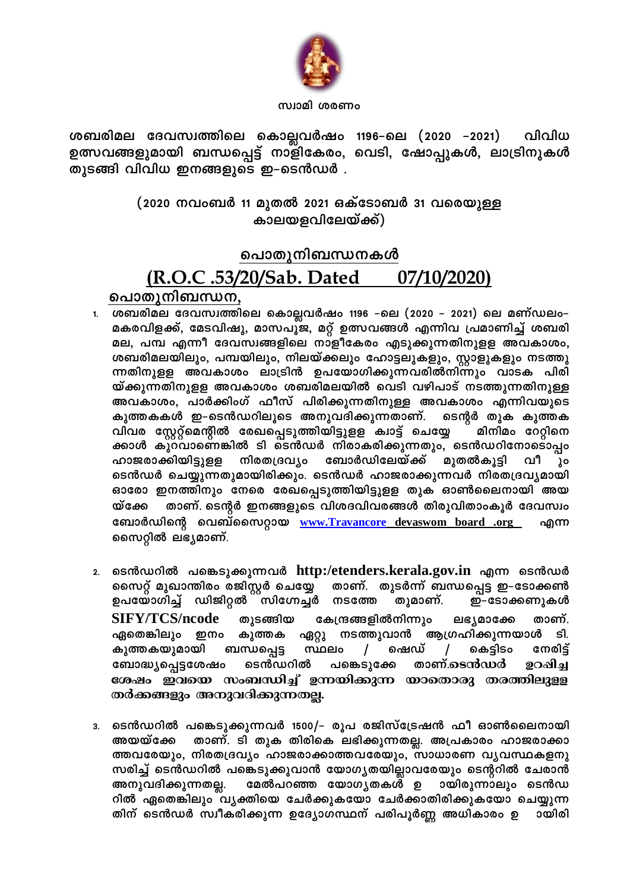

### സ്വാമി ശരണം

ശബരിമല ദേവസ്വത്തിലെ കൊല്ലവർഷം 1196–ലെ (2020 –2021) വിവിധ ഉത്സവങ്ങളുമായി ബന്ധപ്പെട്ട് നാളികേരം, വെടി, ഷോപ്പുകൾ, ലാട്രിനുകൾ തുടങ്ങി വിവിധ ഇനങ്ങളുടെ ഇ–ടെൻഡർ .

## (2020 നവംബർ 11 മുതൽ 2021 ഒക്ടോബർ 31 വരെയുള്ള കാലയളവിലേയ്ക്ക്)

### <u>പൊതുനിബന്ധനകൾ</u> (R.O.C .53/20/Sab. Dated 07/10/2020)

- പൊതുനിബന്ധന, 1. ശബരിമല ദേവസ്വത്തിലെ കൊല്ലവർഷം 1196 –ലെ (2020 – 2021) ലെ മണ്ഡലം– മകരവിളക്ക്, മേടവിഷു, മാസപൂ്ജ, മറ്റ് ഉത്സവങ്ങൾ എന്നിവ പ്രമാണിച്ച് ശബരി മല, പമ്പ എന്നീ ദേവസ്വങ്ങളിലെ നാളീകേരം എടുക്കുന്നതിനുളള അവകാശം, ശബരിമലയിലും, പമ്പയിലും, നിലയ്ക്കലും ഹോട്ടലുകളും, സ്റ്റാളുകളും നടത്തു ന്നതിനുളള അവകാശം ലാട്രിൻ ഉപയോഗിക്കുന്നവരിൽനിന്നും വാടക പിരി യ്ക്കുന്നതിനുളള അവകാശം ശബരിമലയിൽ വെടി വഴിപാട് നടത്തുന്നതിനുള്ള അവകാശം, പാർക്കിംഗ് ഫീസ് പിരിക്കുന്നതിനുള്ള അവകാശം എന്നിവയുടെ കുത്തകകൾ ഇ–ടെൻഡറിലൂടെ അനുവദിക്കുന്നതാണ്. ടെന്റർ തുക കുത്തക വിവര സ്റ്റേറ്റ്മെന്റീൽ രേഖപ്പെടുത്തിയിട്ടുളള ക്വാട്ട് ചെയ്യേ മിനിമം റേറ്റിനെ ക്കാൾ കുറവാണെങ്കിൽ ടി ടെൻഡർ നിരാകരിക്കുന്നതും, ടെൻഡറിനോടൊപ്പം ഹാജരാക്കിയിട്ടുളള നിരതദ്രവ്യം ബോർഡിലേയ്ക്ക് മുതൽകൂട്ടി വീ λo ടെൻഡർ ചെയ്യുന്നതുമായിരിക്കും. ടെൻഡർ ഹാജരാക്കുന്നവർ നിരതദ്രവ്യമായി ഓരോ ഇനത്തിനും നേരെ രേഖപ്പെടുത്തിയിട്ടുളള തുക ഓൺലൈനായി അയ താണ്. ടെന്റർ ഇനങ്ങളുടെ വിശദവിവരങ്ങൾ തിരുവിതാംകൂർ ദേവസ്വം യ്ക്കേ ബോർഡിന്റെ വെബ്സൈറ്റായ www.Travancore devaswom board .org എന്ന സൈറ്റിൽ ലഭ്യമാണ്.
- ടെൻഡറിൽ പങ്കെടുക്കുന്നവർ http:/etenders.kerala.gov.in എന്ന ടെൻഡർ  $2.$ സൈറ്റ് മുഖാന്തിരം രജിസ്റ്റർ ചെയ്യേ താണ്. തുടർന്ന് ബന്ധപ്പെട്ട ഇ–ടോക്കൺ ഉപയോഗിച്ച് ഡിജിറ്റൽ സിഗ്നേച്ചർ നടത്തേ ഇ-ടോക്കണുകൾ തുമാണ്. **SIFY/TCS/ncode** തുടങ്ങിയ കേന്ദ്രങ്ങളിൽനിന്നും താണ്. ലഭ്യമാക്കേ ഏതെങ്കിലും ഇനം കുത്തക ഏറ്റു നടത്തുവാൻ ആഗ്രഹിക്കുന്നയാൾ ടി. ഷെഡ് കുത്തകയുമായി ബന്ധപ്പെട്ട സ്ഥലം  $\prime$  $\sqrt{2}$ കെട്ടിടം നേരിട്ട് ടെൻഡറിൽ താണ്.ടെൻഡർ ഉറഷിച്ച ബോദ്ധ്യപ്പെട്ടശേഷം പങ്കെടുക്കേ ശേഷം ഇവയെ സംബന്ധിച്ച് ഉന്നയിക്കുന്ന യാതൊരു തരത്തിലുളള തർക്കങ്ങളും അനുവദിക്കുന്നതല്ല.
- ടെൻഡറിൽ പങ്കെടുക്കുന്നവർ 1500/– രൂപ രജിസ്ട്രേഷൻ ഫീ ഓൺലൈനായി  $3.$ അയയ്ക്കേ താണ്. ടി തുക തിരികെ ലഭിക്കുന്നതല്ല. അപ്രകാരം ഹാജരാക്കാ ത്തവരേയും, നിരതദ്രവ്യം ഹാജരാക്കാത്തവരേയും, സാധാരണ വ്യവസ്ഥകളനു സരിച്ച് ടെൻഡറിൽ പങ്കെടുക്കുവാൻ യോഗൃതയില്ലാവരേയും ടെന്ററിൽ ചേരാൻ അനുവദിക്കുന്നതല്ല. മേൽപറഞ്ഞ യോഗൃതകൾ ഉ ായിരുന്നാലും ടെൻഡ റിൽ ഏതെങ്കിലും വൃക്തിയെ ചേർക്കുകയോ ചേർക്കാതിരിക്കുകയോ ചെയ്യുന്ന തിന് ടെൻഡർ സ്വീകരിക്കുന്ന ഉദ്യോഗസ്ഥന് പരിപൂർണ്ണ അധികാരം ഉ ായിരി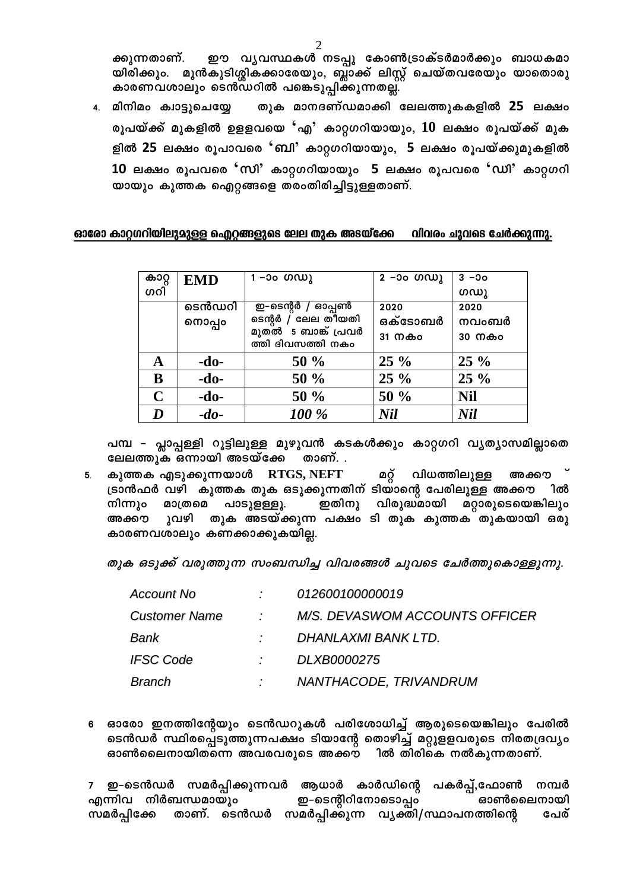ഈ വ്യവസ്ഥകൾ നടപ്പു കോൺട്രാക്ടർമാർക്കും ബാധകമാ ക്കുന്നതാണ്. യിരിക്കും. മുൻകൂടിശ്ശികക്കാരേയും, ബ്ലാക്ക് ലിസ്റ്റ് ചെയ്തവരേയും യാതൊരു കാരണവശാലും ടെൻഡറിൽ പങ്കെടുപ്പിക്കുന്നതല്ല.

4. മിനിമം ക്വാട്ടുചെയ്യേ തുക മാനദണ്ഡമാക്കി ലേലത്തുകകളിൽ 25 ലക്ഷം രൂപയ്ക്ക് മുകളിൽ ഉളളവയെ 'എ' കാറ്റഗറിയായും,  $10$  ലക്ഷം രൂപയ്ക്ക് മുക ളിൽ 25 ലക്ഷം രൂപാവരെ 'ബി' കാറ്റഗറിയായും, 5 ലക്ഷം രൂപയ്ക്കുമുകളിൽ 10 ലക്ഷം രൂപവരെ 'സി' കാറ്റഗറിയായും 5 ലക്ഷം രൂപവരെ 'ഡി' കാറ്റഗറി യായും കുത്തക ഐറ്റങ്ങളെ തരംതിരിച്ചിട്ടുള്ളതാണ്.

#### ഓരോ കാറ്റഗറിയിലുമുള്ള ഐറ്റങ്ങളുടെ ലേല തുക അടയ്ക്കേ വിവരം ചുവടെ ചേർക്കുന്നു.

| കാറ്റ       | <b>EMD</b> | 1 –ാം ഗഡു                                | 2 –၁၀ ທ $\omega$ ) | $3 - 00$   |
|-------------|------------|------------------------------------------|--------------------|------------|
| ဖကါ         |            |                                          |                    | ഗഡു        |
|             | ടെൻഡറി     | ഇ–ടെന്റർ / ഓപ്പൺ                         | 2020               | 2020       |
|             | നൊപ്പം     | ടെന്റർ / ലേല തിയതി                       | ഒക്ടോബർ            | നവംബർ      |
|             |            | മുതൽ 5 ബാങ്ക് പ്രവർ<br>ത്തി ദിവസത്തി നകം | 31 നകം             | 30 നകം     |
| A           | $-do-$     | 50%                                      | $25\%$             | $25\%$     |
| B           | $-do-$     | 50 %                                     | $25\%$             | $25\%$     |
| $\mathbf C$ | $-do-$     | 50 %                                     | 50 %               | <b>Nil</b> |
| D           | $-do-$     | 100 %                                    | <b>Nil</b>         | <b>Nil</b> |

പമ്പ - പ്ലാപ്പള്ളി റൂട്ടിലുള്ള മുഴുവൻ കടകൾക്കും കാറ്റഗറി വൃത്യാസമില്ലാതെ ലേലത്തുക ഒന്നായി അടയ്ക്കേ താണ്. .

കുത്തക എടുക്കുന്നയാൾ RTGS, NEFT മറ്റ് വിധത്തിലുള്ള അക്കൗ 5 ട്രാൻഫർ വഴി കുത്തക തുക ഒടുക്കുന്നതിന് ടിയാന്റെ പേരിലുള്ള അക്കൗ ിൽ നിന്നും ഇതിനു വിരുദ്ധമായി മാത്രമെ പാടുളള്ളൂ. മറ്റാരുടെയെങ്കിലും അക്കൗ ുവഴി തുക അടയ്ക്കുന്ന പക്ഷം ടി തുക കുത്തക തുകയായി ഒരു കാരണവശാലും കണക്കാക്കുകയില്ല.

തുക ഒടുക്ക് വരൂത്തുന്ന സംബന്ധിച്ച വിവരങ്ങൾ ചുവടെ ചേർത്തുകൊള്ളുന്നു.

| Account No    |                 | 012600100000019                |
|---------------|-----------------|--------------------------------|
| Customer Name | $\mathcal{F}$ . | M/S. DEVASWOM ACCOUNTS OFFICER |
| Bank          |                 | DHANLAXMI BANK LTD.            |
| IFSC Code     |                 | DLXB0000275                    |
| Branch        |                 | NANTHACODE, TRIVANDRUM         |

6 ഓരോ ഇനത്തിന്റേയും ടെൻഡറുകൾ പരിശോധിച്ച് ആരുടെയെങ്കിലും പേരിൽ ടെൻഡർ സ്ഥിരപ്പെടുത്തുന്നപക്ഷം ടിയാന്റേ തൊഴിച്ച് മറ്റുളളവരുടെ നിരതദ്രവ്യം ഓൺലൈനായിതന്നെ അവരവരുടെ അക്കൗ ിൽ തിരികെ നൽകുന്നതാണ്.

ഇ–ടെൻഡർ സമർപ്പിക്കുന്നവർ ആധാർ കാർഡിന്റെ പകർപ്പ്,ഫോൺ നമ്പർ ഇ–ടെന്റീറിനോടൊപ്പം എന്നിവ നിർബന്ധമായും ഓൺലൈനായി താണ്. ടെൻഡർ സമർപ്പിക്കുന്ന വ്യക്തി/സ്ഥാപനത്തിന്റെ സമർപ്പിക്കേ പേര്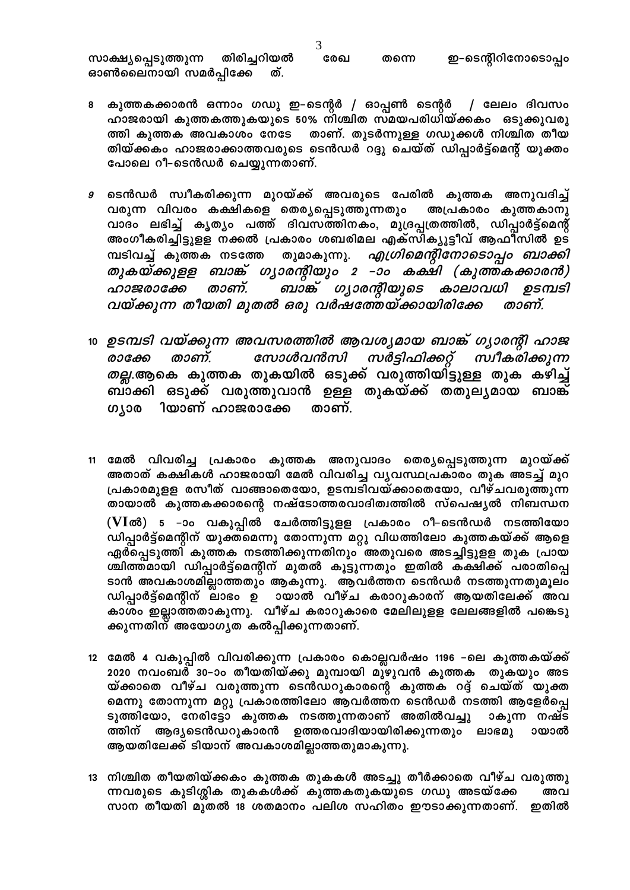തിരിച്ചറിയൽ ഇ-ടെന്റിറിനോടൊപ്പം സാക്ഷ്യപ്പെടുത്തുന്ന രേഖ തന്നെ ഓൺലൈനായി സമർപ്പിക്കേ ത്.

- കുത്തകക്കാരൻ ഒന്നാം ഗഡു ഇ–ടെന്റർ / ഓപ്പൺ ടെന്റർ / ലേലം ദിവസം 8 ഹാജരായി കുത്തകത്തുകയുടെ 50% നിശ്ചിത സമയപരിധിയ്ക്കകം ഒടുക്കുവരു ത്തി കുത്തക അവകാശം നേടേ താണ്. തുടർന്നുള്ള ഗഡുക്കൾ നിശ്ചിത തീയ തിയ്ക്കകം ഹാജരാക്കാത്തവരുടെ ടെൻഡർ റദ്ദു ചെയ്ത് ഡിപ്പാർട്ട്മെന്റ് യുക്തം പോലെ റീ–ടെൻഡർ ചെയ്യുന്നതാണ്.
- ടെൻഡർ സ്വീകരിക്കുന്ന മുറയ്ക്ക് അവരുടെ പേരിൽ കുത്തക അനുവദിച്ച് 9 വരുന്ന വിവരം കക്ഷികളെ തെര്യപ്പെടുത്തുന്നതും അപ്രകാരം കുത്തകാനു വാദം ലഭിച്ച് കൃത്യം പത്ത് ദിവസത്തിനകം, മുദ്രപ്പത്രത്തിൽ, ഡിപ്പാർട്ട്മെന്റ് അംഗീകരിച്ചിട്ടുളള നക്കൽ പ്രകാരം ശബരിമല എക്സിക്യൂട്ടീവ് ആഫിസിൽ ഉട എഗ്രിമെന്റിനോടൊപ്പം ബാക്കി മ്പടിവച്ച് കുത്തക നടത്തേ തുമാകുന്നു. തുകയ്ക്കുളള ബാങ്ക് ഗൃാരന്റിയും 2 –ാം കക്ഷി (കുത്തകക്കാരൻ) ബാങ്ക് ഗൃാരന്റിയുടെ കാലാവധി ഉടമ്പടി താണ്. ഹാജരാക്കേ വയ്ക്കുന്ന തീയതി മുതൽ ഒരു വർഷത്തേയ്ക്കായിരിക്കേ താണ്.
- 10 ഉടമ്പടി വയ്ക്കുന്ന അവസരത്തിൽ ആവശ്യമായ ബാങ്ക് ഗ്യാരന്റി ഹാജ സോൾവൻസി സർട്ടിഫിക്കറ്റ് സ്വീകരിക്കുന്ന താണ്. രാക്കേ *തല്ല*.ആകെ കുത്തക തുകയിൽ ഒടുക്ക് വരുത്തിയിട്ടുള്ള തുക കഴിച്ച് ബ്ാക്കി ഒടുക്ക് വരുത്തുവാൻ ഉള്ള തുകയ്ക്ക് തതുലൃമായ ബാങ്ക് ിയാണ് ഹാജരാക്കേ ഗ്യാര താണ്.
- മേൽ വിവരിച്ച പ്രകാരം കുത്തക അനുവാദം തെര്യപ്പെടുത്തുന്ന മുറയ്ക്ക്  $11$ അതാത് കക്ഷികൾ ഹാജരായി മേൽ വിവരിച്ച വ്യവസ്ഥപ്രകാരം തുക അടച്ച് മുറ പ്രകാരമുളള രസീത് വാങ്ങാതെയോ, ഉടമ്പടിവയ്ക്കാതെയോ, വീഴ്ചവരുത്തുന്ന തായാൽ കുത്തകക്കാരന്റെ നഷ്ടോത്തരവാദിത്വത്തിൽ സ്പെഷ്യൽ നിബന്ധന (VIൽ) 5 -ാം വകുപ്പിൽ ചേർത്തിട്ടുളള പ്രകാരം റീ-ടെൻഡർ നടത്തിയോ ഡിപ്പാർട്ട്മെന്റീന് യുക്തമെന്നു തോന്നുന്ന മറ്റു വിധത്തിലോ കുത്തകയ്ക്ക് ആളെ ഏർപ്പെടുത്തി കുത്തക നടത്തിക്കുന്നതിനും അതുവരെ അടച്ചിട്ടുളള തുക പ്രായ ശ്ചിത്തമായി ഡിപ്പാർട്ട്മെന്റിന് മുതൽ കൂട്ടുന്നതും ഇതിൽ കക്ഷിക്ക് പരാതിപ്പെ ടാൻ അവകാശമില്ലാത്തതും ആകുന്നു. ആവർത്തന ടെൻഡർ നടത്തുന്നതുമൂലം ഡിപ്പാർട്ട്മെന്റിന് ലാഭം ഉ ായാൽ വീഴ്ച കരാറുകാരന് ആയതിലേക്ക് അവ കാശം ഇല്ലാത്തതാകുന്നു. വീഴ്ച കരാറുകാരെ മേലിലുളള ലേലങ്ങളിൽ പങ്കെടു ക്കുന്നതിന് അയോഗൃത കൽപ്പിക്കുന്നതാണ്.
- 12 മേൽ 4 വകുപ്പിൽ വിവരിക്കുന്ന പ്രകാരം കൊല്ലവർഷം 1196 –ലെ കുത്തകയ്ക്ക് 2020 നവംബർ 30–ാം തീയതിയ്ക്കു മുമ്പായി മുഴുവൻ കുത്തക തുകയും അട യ്ക്കാതെ വീഴ്ച വരുത്തുന്ന ടെൻഡറുകാരന്റെ കുത്തക റദ്ദ് ചെയ്ത് യുക്ത മെന്നു തോന്നുന്ന മറ്റു പ്രകാരത്തിലോ ആവർത്തന ടെൻഡർ നടത്തി ആളേർപ്പെ ടുത്തിയോ, നേരിട്ടോ കുത്തക നടത്തുന്നതാണ് അതിൽവച്ചു ാകുന്ന നഷ്ട ആദ്യടെൻഡറുകാരൻ ഉത്തരവാദിയായിരിക്കുന്നതും ലാഭമു ായാൽ ത്തിന് ആയതിലേക്ക് ടിയാന് അവകാശമില്ലാത്തതുമാകുന്നു.
- 13 നിശ്ചിത തീയതിയ്ക്കകം കുത്തക തുകകൾ അടച്ചു തീർക്കാതെ വീഴ്ച വരുത്തു ന്നവരുടെ കുടിശ്ശിക തുകകൾക്ക് കുത്തകതുകയുടെ ഗഡു അടയ്ക്കേ അവ സാന തീയതി മുതൽ 18 ശതമാനം പലിശ സഹിതം ഈടാക്കുന്നതാണ്. ഇതിൽ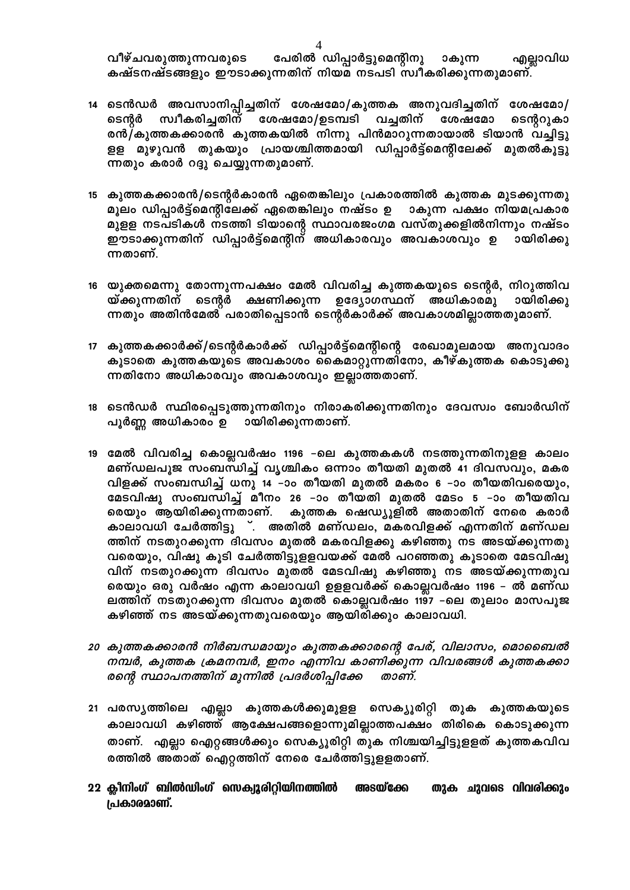പേരിൽ ഡിപ്പാർട്ടുമെന്റിനു വീഴ്ചവരുത്തുന്നവരുടെ ാകുന്ന എല്ലാവിധ കഷ്ടനഷ്ടങ്ങളും ഈടാക്കുന്നതിന് നിയമ നടപടി സ്വീകരിക്കുന്നതുമാണ്.

- 14 ടെൻഡർ അവസാനിപ്പിച്ചതിന് ശേഷമോ/കുത്തക അനുവദിച്ചതിന് ശേഷമോ/ ശേഷമോ/ഉടമ്പടി വച്ചതിന് ശേഷമോ ടെന്റർ സ്വീകരിച്ചതിന് ടെന്ററുകാ രൻ/കുത്തകക്കാരൻ കുത്തകയിൽ നിന്നു പിൻമാറുന്നതായാൽ ടിയാൻ വച്ചിട്ടു ളള മുഴുവൻ തുകയും പ്രായശ്ചിത്തമായി ഡിപ്പാർട്ട്മെന്റിലേക്ക് മുതൽകൂട്ടു ന്നതും കരാർ റദ്ദു ചെയ്യുന്നതുമാണ്.
- 15 കുത്തകക്കാരൻ/ടെന്റർകാരൻ ഏതെങ്കിലും പ്രകാരത്തിൽ കുത്തക മുടക്കുന്നതു മൂലം ഡിപ്പാർട്ട്മെന്റിലേക്ക് ഏതെങ്കിലും നഷ്ടം ഉ ാകുന്ന പക്ഷം നിയമപ്രകാര മുളള നടപടികൾ നടത്തി ടിയാന്റെ സ്ഥാവരജംഗമ വസ്തുക്കളിൽനിന്നും നഷ്ടം ഈടാക്കുന്നതിന് ഡിപ്പാർട്ട്മെന്റിന് അധികാരവും അവകാശവും ഉ ായിരിക്കു ന്നതാണ്.
- 16 യുക്തമെന്നു തോന്നുന്നപക്ഷം മേൽ വിവരിച്ച കുത്തകയുടെ ടെന്റർ, നിറുത്തിവ യ്ക്കുന്നതിന് ടെന്റർ ക്ഷണിക്കുന്ന ഉദ്യോഗസ്ഥന് അധികാരമു ായിരിക്കു ന്നതും അതിൻമേൽ പരാതിപ്പെടാൻ ടെന്റർകാർക്ക് അവകാശമില്ലാത്തതുമാണ്.
- 17 കുത്തകക്കാർക്ക്/ടെന്റർകാർക്ക് ഡിപ്പാർട്ട്മെന്റിന്റെ രേഖാമൂലമായ അനുവാദം കൂടാതെ കുത്തകയുടെ അവകാശം കൈമാറ്റുന്നതിനോ, കീഴ്കുത്തക കൊടുക്കു ന്നതിനോ അധികാരവും അവകാശവും ഇല്ലാത്തതാണ്.
- 18 ടെൻഡർ സ്ഥിരപ്പെടുത്തുന്നതിനും നിരാകരിക്കുന്നതിനും ദേവസ്വം ബോർഡിന് ായിരിക്കുന്നതാണ്. പൂർണ്ണ അധികാരം ഉ
- 19 മേൽ വിവരിച്ച കൊല്ലവർഷം 1196 -ലെ കുത്തകകൾ നടത്തുന്നതിനുളള കാലം മണ്ഡലപൂജ സംബന്ധിച്ച് വൃശ്ചികം ഒന്നാം തീയതി മുതൽ 41 ദിവസവും, മകര വിളക്ക് സംബന്ധിച്ച് ധനു 14 –ാം തീയതി മുതൽ മകരം 6 –ാം തീയതിവരെയും, മേടവിഷു സംബന്ധിച്ച് മീനം 26 –ാം തീയതി മുതൽ മേടം 5 –ാം തീയതിവ കുത്തക ഷെഡ്യൂളിൽ അതാതിന് നേരെ കരാർ രെയും ആയിരിക്കുന്നതാണ്. കാലാവധി ചേർത്തിട്ടു ്. അതിൽ മണ്ഡലം, മകരവിളക്ക് എന്നതിന് മണ്ഡല ത്തിന് നടതുറക്കുന്ന ദിവസം മുതൽ മകരവിളക്കു കഴിഞ്ഞു നട അടയ്ക്കുന്നതു വരെയും, വിഷു കൂടി ചേർത്തിട്ടുളളവയക്ക് മേൽ പറഞ്ഞതു കൂടാതെ മേടവിഷു വിന് നടതുറക്കുന്ന ദിവസം മുതൽ മേടവിഷു കഴിഞ്ഞു നട അടയ്ക്കുന്നതുവ രെയും ഒരു വർഷം എന്ന കാലാവധി ഉളളവർക്ക് കൊല്ലവർഷം 1196 – ൽ മണ്ഡ ലത്തിന് നടതുറക്കുന്ന ദിവസം മുതൽ കൊല്ലവർഷം 1197 -ലെ തുലാം മാസപൂജ കഴിഞ്ഞ് നട അടയ്ക്കുന്നതുവരെയും ആയിരിക്കും കാലാവധി.
- 20 കുത്തകക്കാരൻ നിർബന്ധമായും കുത്തകക്കാരന്റെ പേര്, വിലാസം, മൊബൈൽ നമ്പർ, കുത്തക ക്രമനമ്പർ, ഇനം എന്നിവ കാണിക്കുന്ന വിവരങ്ങൾ കുത്തകക്കാ രന്റെ സ്ഥാപനത്തിന് മുന്നിൽ പ്രദർശിപ്പിക്കേ താണ്.
- 21 പരസ്യത്തിലെ എല്ലാ കുത്തകൾക്കുമുളള സെക്യൂരിറ്റി തുക കുത്തകയുടെ കാലാവധി കഴിഞ്ഞ് ആക്ഷേപങ്ങളൊന്നുമില്ലാത്തപക്ഷം തിരികെ കൊടുക്കുന്ന താണ്. എല്ലാ ഐറ്റങ്ങൾക്കും സെക്യൂരിറ്റി തുക നിശ്ചയിച്ചിട്ടുളളത് കുത്തകവിവ രത്തിൽ അതാത് ഐറ്റത്തിന് നേരെ ചേർത്തിട്ടുളളതാണ്.
- തുക ചുവടെ വിവരിക്കും 22 ക്ലീനിംഗ് ബിൽഡിംഗ് സെക്യൂരിറ്റിയിനത്തിൽ അടയ്ക്കേ പ്രകാരമാണ്.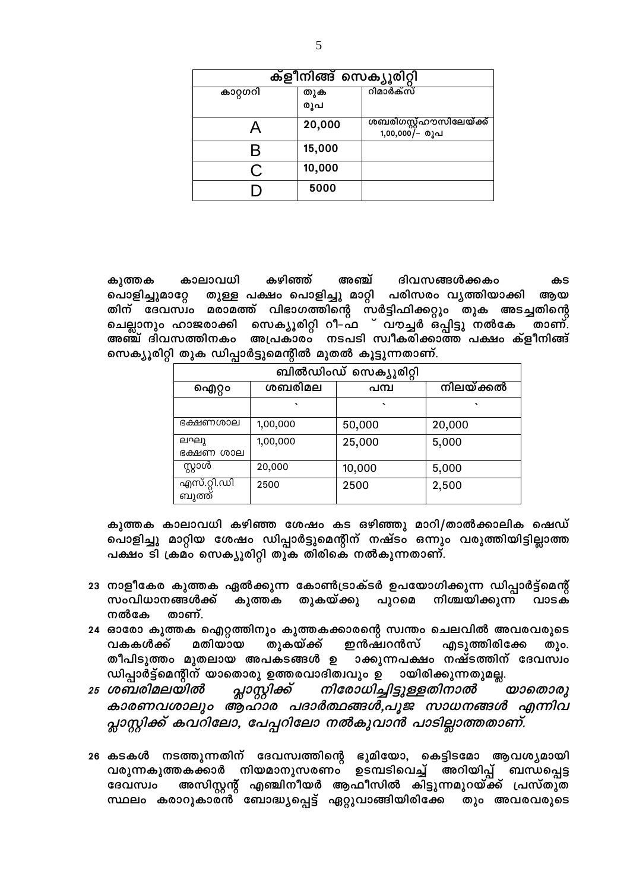| ക്ളീനിങ്ങ് സെക്യൂരിറ്റി |            |                                           |
|-------------------------|------------|-------------------------------------------|
| കാറ്റഗറി                | തുക<br>രൂപ | റിമാർക്സ്                                 |
|                         | 20,000     | ശബരിഗസ്റ്റ്ഹൗസിലേയ്ക്ക്<br>1,00,000/- രൂപ |
| K                       | 15,000     |                                           |
|                         | 10,000     |                                           |
|                         | 5000       |                                           |

കഴിഞ്ഞ് കാലാവധി അഞ്ച് ദിവസങ്ങൾക്കകം കുത്തക കട പൊളിച്ചുമാറ്റേ തുള്ള പക്ഷം പൊളിച്ചു മാറ്റി പരിസരം വൃത്തിയാക്കി ആയ തിന് ദേവസ്ഥം മരാമത്ത് വിഭാഗത്തിന്റെ സർട്ടിഫിക്കറ്റും തുക അടച്ചതിന്റെ ചെല്ലാനും ഹാജരാക്കി സെക്യൂരിറ്റി റീ–ഫ ് വൗച്ചർ ഒ്പ്പിട്ടു നൽകേ ്താണ്. അഞ്ച് ദിവസത്തിനകം അപ്രകാരം നടപടി സ്വീകരിക്കാത്ത പക്ഷം ക്ളീനിങ്ങ് സെക്യൂരിറ്റി തുക ഡിപ്പാർട്ടുമെന്റിൽ മുതൽ കൂട്ടുന്നതാണ്.

| ബിൽഡിംഡ് സെക്യൂരിറ്റി |          |         |           |
|-----------------------|----------|---------|-----------|
| ഐറ്റം                 | ശബരിമല   | പമ്പ    | നിലയ്ക്കൽ |
|                       | $\cdot$  | $\cdot$ | $\cdot$   |
| ഭക്ഷണശാല              | 1,00,000 | 50,000  | 20,000    |
| ലഘു<br>ഭക്ഷണ ശാല      | 1,00,000 | 25,000  | 5,000     |
| സ്റ്റാൾ               | 20,000   | 10,000  | 5,000     |
| എസ്.റ്റി.ഡി<br>ബുത്ത് | 2500     | 2500    | 2,500     |

കുത്തക കാലാവധി കഴിഞ്ഞ ശേഷം കട ഒഴിഞ്ഞു മാറി/താൽക്കാലിക ഷെഡ് പൊളിച്ചു മാറ്റിയ ശേഷം ഡിപ്പാർട്ടുമെന്റിന് നഷ്ടം ഒന്നും വരുത്തിയിട്ടില്ലാത്ത പക്ഷം ടി ക്രമം സെക്യൂരിറ്റി തുക തിരികെ നൽകുന്നതാണ്.

- 23 നാളീകേര കുത്തക ഏൽക്കുന്ന കോൺട്രാക്ടർ ഉപയോഗിക്കുന്ന ഡിപ്പാർട്ട്മെന്റ് സംവിധാനങ്ങൾക്ക് കുത്തക തുകയ്ക്കു പുറമെ നിശ്ചയിക്കുന്ന വാടക നൽകേ താണ്.
- 24 ഓരോ കുത്തക ഐറ്റത്തിനും കുത്തകക്കാരന്റെ സ്വന്തം ചെലവിൽ അവരവരുടെ മതിയായ തുകയ്ക്ക് ഇൻഷ്വറൻസ് എടുത്തിരിക്കേ വകകൾക്ക് തും. തീപിടുത്തം മുതലായ അപകടങ്ങൾ ഉ ാക്കുന്നപക്ഷം നഷ്ടത്തിന് ദേവസ്വം ഡിപ്പാർട്ട്മെന്റീന് യാതൊരു ഉത്തരവാദിത്വവും ഉ ായിരിക്കുന്നതുമല്ല.
- നിരോധിച്ചിട്ടുള്ളതിനാൽ പ്ലാസ്റ്റിക്ക് 25 ശബരിമലയിൽ  $\omega$ കാരണവശാലും ആഹാര പദാർത്ഥങ്ങൾ,പൂജ സാധനങ്ങൾ എന്നിവ പ്ലാസ്റ്റിക്ക് കവറിലോ, പേപ്പറിലോ നൽകുവാൻ പാടില്ലാത്തതാണ്.
- 26 കടകൾ നടത്തുന്നതിന് ദേവസ്വത്തിന്റെ ഭൂമിയോ, കെട്ടിടമോ ആവശ്യമായി വരുന്നകുത്തകക്കാർ നിയമാനുസരണം ഉടമ്പടിവെച്ച് അറിയിപ്പ് ബന്ധപ്പെട്ട അസിസ്റ്റന്റ് എഞ്ചിനീയർ ആഫീസിൽ കിട്ടുന്നമുറയ്ക്ക് പ്രസ്തുത ദേവസ്വം സ്ഥലം കരാറുകാര്ൻ് ബോദ്ധ്യപ്പെട്ട് ഏറ്റുവാങ്ങിയിരിക്കേ തും അവരവരുടെ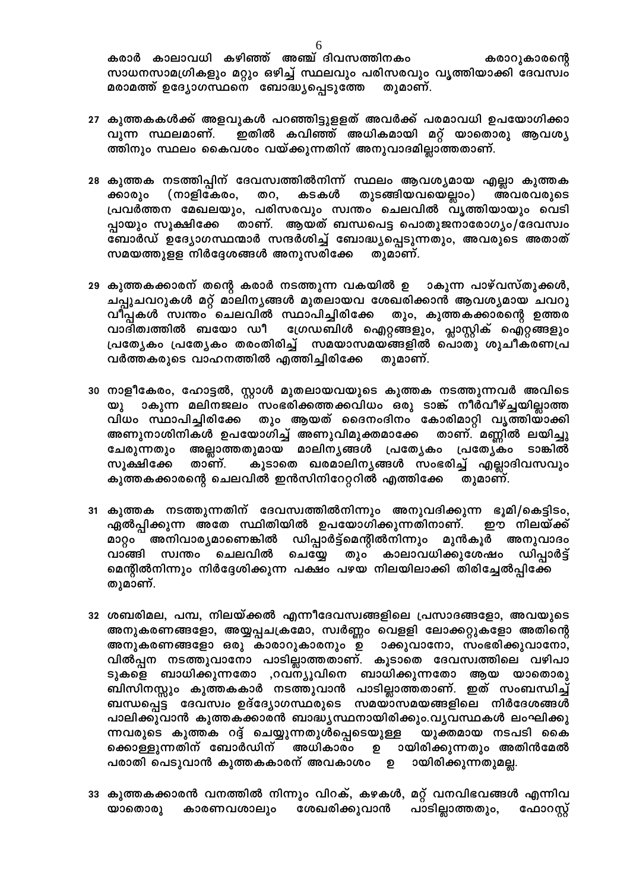കരാർ കാലാവധി കഴിഞ്ഞ് അഞ്ച് ദിവസത്തിനകം കരാറുകാരന്റെ സാധനസാമഗ്രികളും മറ്റും ഒഴിച്ച് സ്ഥലവും പരിസരവും വൃത്തിയാക്കി ദേവസ്വം മരാമത്ത് ഉദ്യോഗസ്ഥനെ ബോദ്ധ്യപ്പെടുത്തേ തുമാണ്.

- 27 കുത്തകകൾക്ക് അളവുകൾ പറഞ്ഞിട്ടുളളത് അവർക്ക് പരമാവധി ഉപയോഗിക്കാ വുന്ന സ്ഥലമാണ്. ഇതിൽ കവിഞ്ഞ് അധികമായി മറ്റ് യാതൊരു ആവശ്യ ത്തിനും സ്ഥലം കൈവശം വയ്ക്കുന്നതിന് അനുവാദമില്ലാത്തതാണ്.
- 28 കുത്തക നടത്തിപ്പിന് ദേവസ്വത്തിൽനിന്ന് സ്ഥലം ആവശ്യമായ എല്ലാ കുത്തക ക്കാരും തുടങ്ങിയവയെല്ലാം) (നാളികേരം, തറ, കടകൾ അവരവരുടെ പ്രവർത്തന മേഖലയും, പരിസരവും സ്വന്തം ചെലവിൽ വൃത്തിയായും വെടി പ്പായും സൂക്ഷിക്കേ താണ്. ആയത് ബന്ധപെട്ട പൊതുജനാരോഗ്യം/ദേവസ്വം ഭ്ബാർഡ് ഉദ്യോഗസ്ഥന്മാർ സന്ദർശിച്ച് ബോദ്ധ്യപ്പെടുന്നതും, അവരുടെ അതാത് സമയത്തുളള നിർദ്ദേശങ്ങൾ അനുസരിക്കേ തുമാണ്.
- 29 കുത്തകക്കാരന് തന്റെ കരാർ നടത്തുന്ന വകയിൽ ഉ ാകുന്ന പാഴ്വസ്തുക്കൾ, ചപ്പുചവറുകൾ മറ്റ് മാലിനൃങ്ങൾ മുതലായവ ശേഖരിക്കാൻ ആവശ്യമായ ചവറു വീപ്പകൾ സ്വന്തം ചെലവിൽ സ്ഥാപിച്ചിരിക്കേ തും, കുത്തകക്കാരന്റെ ഉത്തര വാദിത്വത്തിൽ ബയോ ഡീ ഗ്രേഡബിൾ ഐറ്റങ്ങളും, പ്ലാസ്റ്റിക് ഐറ്റങ്ങളും പ്രത്യേകം പ്രത്യേകം തരംതിരിച്ച് സമയാസമയങ്ങളിൽ പൊതു ശുചീകരണപ്ര വർത്തകരുടെ വാഹനത്തിൽ എത്തിച്ചിരിക്കേ തുമാണ്.
- 30 നാളീകേരം, ഹോട്ടൽ, സ്റ്റാൾ മുതലായവയുടെ കുത്തക നടത്തുന്നവർ അവിടെ ാകുന്ന മലിനജലം സംഭരിക്കത്തക്കവിധം ഒരു ടാങ്ക് നീർവീഴ്ച്ചയില്ലാത്ത യു വിധം സ്ഥാപിച്ചിരിക്കേ തും ആയത് ദൈനംദിനം കോരിമാറ്റി വൃത്തിയാക്കി അണുനാശിനികൾ ഉപയോഗിച്ച് അണുവിമുക്തമാക്കേ താണ്. മണ്ണിൽ ലയിച്ചു ചേരുന്നതും അല്ലാത്തതുമായ മാലിനൃങ്ങൾ പ്രത്യേകം പ്രത്യേകം ടാങ്കിൽ താണ്. കൂടാതെ ഖരമാലിനൃങ്ങൾ സംഭരിച്ച് എല്ലാദിവസവും സൂക്ഷിക്കേ കുത്തകക്കാരന്റെ ചെലവിൽ ഇൻസിനിറേറ്ററിൽ എത്തിക്കേ തുമാണ്.
- 31 കുത്തക നടത്തുന്നതിന് ദേവസ്വത്തിൽനിന്നും അനുവദിക്കുന്ന ഭൂമി/കെട്ടിടം, ഏൽപ്പിക്കുന്ന അതേ സ്ഥിതിയിൽ ഉപയോഗിക്കുന്നതിനാണ്. ഈ നിലയ്ക്ക് ഡിപ്പാർട്ട്മെന്റിൽനിന്നും മുൻകൂർ അനുവാദം മാറ്റം അനിവാര്യമാണെങ്കിൽ സ്വന്തം ചെലവിൽ ചെയ്യേ തും കാലാവധിക്കുശേഷം വാങ്ങി ഡിപ്പാർട്ട് മെന്റീൽനിന്നും നിർദ്ദേശിക്കുന്ന പക്ഷം പഴയ നിലയിലാക്കി തിരിച്ചേൽപ്പിക്കേ തുമാണ്.
- 32 ശബരിമല, പമ്പ, നിലയ്ക്കൽ എന്നീദേവസ്വങ്ങളിലെ പ്രസാദങ്ങളോ, അവയുടെ അനുകരണങ്ങളോ, അയ്യപ്പചക്രമോ, സ്വർണ്ണം വെളളി ലോക്കറ്റുകളോ അതിന്റെ അനുകരണങ്ങളോ ഒരു കാരാറുകാരനും ഉ ാക്കുവാനോ, സംഭരിക്കുവാനോ, വിൽപ്പന നടത്തുവാനോ പാടില്ലാത്തതാണ്. കൂടാതെ ദേവസ്വത്തിലെ വഴിപാ ടുകളെ ബാധിക്കുന്നതോ ,റവന്യൂവിനെ ബാധിക്കുന്നതോ ആയ യാതൊരു ബിസിനസ്സും കുത്തകകാർ നടത്തുവാൻ പാടില്ലാത്തതാണ്. ഇത് സംബന്ധിച്ച് ബന്ധപ്പെട്ട ദേവസ്വം ഉദ്ദ്യോഗസ്ഥരുടെ സമയാസമയങ്ങളിലെ നിർദേശങ്ങൾ പാലിക്കുവാൻ കുത്തകക്കാരൻ ബാദ്ധ്യസ്ഥനായിരിക്കും.വൃവസ്ഥകൾ ലംഘിക്കു ന്നവരുടെ കുത്തക റദ്ദ് ചെയ്യുന്നതുൾപ്പെടെയുള്ള യുക്തമായ നടപടി കൈ ക്കൊള്ളുന്നതിന് ബോർഡിന് അധികാരം ഉ ായിരിക്കുന്നതും അതിൻമേൽ പരാതി പെടുവാൻ കുത്തകകാരന് അവകാശം ഉ ായിരിക്കുന്നതുമല്ല.
- 33 കുത്തകക്കാരൻ വനത്തിൽ നിന്നും വിറക്, കഴകൾ, മറ്റ് വനവിഭവങ്ങൾ എന്നിവ പാടില്ലാത്തതും, യാതൊരു കാരണവശാലും ശേഖരിക്കുവാൻ ഫോറസ്റ്റ്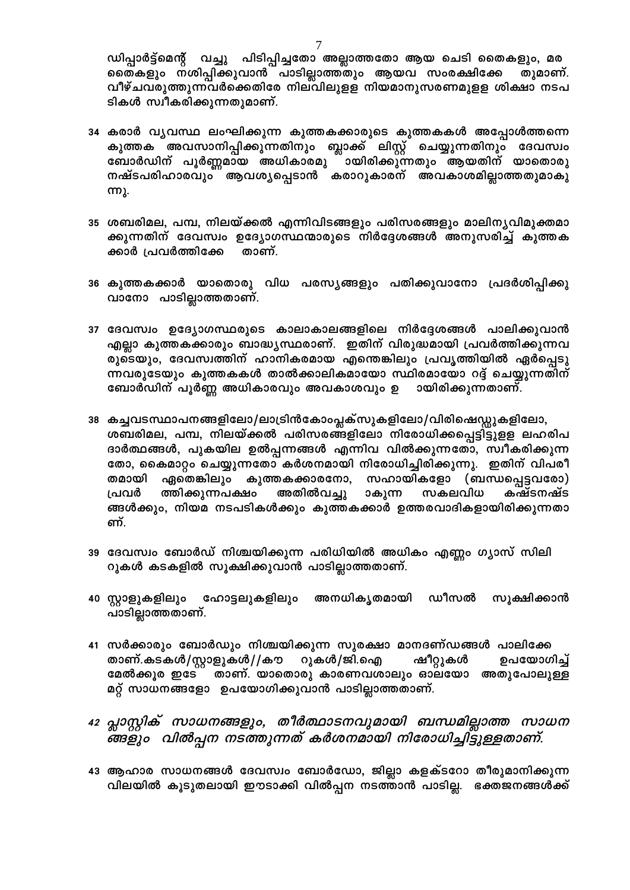ഡിപ്പാർട്ട്മെന്റ് വച്ചു പിടിപ്പിച്ചതോ അല്ലാത്തതോ ആയ ചെടി തൈകളും, മര തൈകളും നശിപ്പിക്കുവാൻ പാടില്ലാത്തതും ആയവ സംരക്ഷിക്കേ തുമാണ്. വീഴ്ചവരുത്തുന്നവർക്കെതിരേ നിലവിലുളള നിയമാനുസരണമുളള ശിക്ഷാ നടപ ടികൾ സ്വീകരിക്കുന്നതുമാണ്.

- 34 കരാർ വൃവസ്ഥ ലംഘിക്കുന്ന കുത്തകക്കാരുടെ കുത്തകകൾ അപ്പോൾത്തന്നെ കുത്തക അവസാനിപ്പിക്കുന്നതിനും ബ്ലാക്ക് ലിസ്റ്റ് ചെയ്യുന്നതിനും ദേവസ്വം ബോർഡിന് പൂർണ്ണമായ അധികാരമു ായിരിക്കുന്നതും ആയതിന് യാതൊരു നഷ്ടപരിഹാരവും ആവശ്യപ്പെടാൻ കരാറുകാരന് അവകാശമില്ലാത്തതുമാകു **ന്നു.**
- 35 ശബരിമല, പമ്പ, നിലയ്ക്കൽ എന്നിവിടങ്ങളും പരിസരങ്ങളും മാലിനൃവിമുക്തമാ ക്കുന്നതിന് ദേവസ്വം ഉദ്യോഗസ്ഥന്മാരുടെ നിർദ്ദേശങ്ങൾ അനുസരിച്ച് കുത്തക ക്കാർ പ്രവർത്തിക്കേ താണ്.
- 36 കുത്തകക്കാർ യാതൊരു വിധ പരസൃങ്ങളും പതിക്കുവാനോ പ്രദർശിപ്പിക്കു വാനോ പാടില്ലാത്തതാണ്.
- 37 ദേവസ്വം ഉദ്യോഗസ്ഥരുടെ കാലാകാലങ്ങളിലെ നിർദ്ദേശങ്ങൾ പാലിക്കുവാൻ എല്ലാ കുത്തകക്കാരും ബാദ്ധ്യസ്ഥരാണ്. ഇതിന് വിരുദ്ധമായി പ്രവർത്തിക്കുന്നവ രുടെയും, ദേവസ്വത്തിന് ഹാനികരമായ എന്തെങ്കിലും പ്രവൃത്തിയിൽ ഏർപ്പെടു ന്നവരുടേയും കുത്തകകൾ താൽക്കാലികമായോ സ്ഥിരമായോ റദ്ദ് ചെയ്യുന്നതിന് ബോർഡിന് പൂർണ്ണ അധികാരവും അവകാശവും ഉ ായിരിക്കുന്നതാണ്.
- 38 കച്ചവടസ്ഥാപനങ്ങളിലോ/ലാട്രിൻകോംപ്ലക്സുകളിലോ/വിരിഷെഡ്ഡുകളിലോ, ശബരിമല, പമ്പ, നിലയ്ക്കൽ പരിസരങ്ങളിലോ നിരോധിക്കപ്പെട്ടിട്ടുളള ലഹരിപ ദാർത്ഥങ്ങൾ, പുകയില ഉൽപ്പന്നങ്ങൾ എന്നിവ വിൽക്കുന്നതോ, സ്വീകരിക്കുന്ന തോ, കൈമാറ്റം ചെയ്യുന്നതോ കർശനമായി നിരോധിച്ചിരിക്കുന്നു. ഇതിന് വിപരീ സഹായികളോ (ബന്ധപ്പെട്ടവരോ) തമായി ഏതെങ്കിലും കുത്തകക്കാരനോ, ത്തിക്കുന്നപക്ഷം അതിൽവച്ചു സകലവിധ പ്രവർ ാകുന്ന കഷ്ടനഷ്ട ങ്ങൾക്കും, നിയമ നടപടികൾക്കും കുത്തകക്കാർ ഉത്തരവാദികളായിരിക്കുന്നതാ ണ്.
- 39 ദേവസ്വം ബോർഡ് നിശ്ചയിക്കുന്ന പരിധിയിൽ അധികം എണ്ണം ഗ്യാസ് സിലി റുകൾ കടകളിൽ സൂക്ഷിക്കുവാൻ പാടില്ലാത്തതാണ്.
- 40 സ്റ്റാളുകളിലും ഹോട്ടലുകളിലും അനധികൃതമായി ഡീസൽ സൂക്ഷിക്കാൻ പാടില്ലാത്തതാണ്.
- 41 സർക്കാരും ബോർഡും നിശ്ചയിക്കുന്ന സുരക്ഷാ മാനദണ്ഡങ്ങൾ പാലിക്കേ ഷീറ്റുകൾ താണ്.കടകൾ/സ്റ്റാളുകൾ//കൗ റുകൾ/ജി.ഐ ഉപയോഗിച്ച് മേൽക്കൂര ഇടേ താണ്. യാതൊരു കാരണവശാലും ഓലയോ അതുപോലുള്ള മറ്റ് സാധനങ്ങളോ ഉപയോഗിക്കുവാൻ പാടില്ലാത്തതാണ്.
- 42 പ്ലാസ്റ്റിക് സാധനങ്ങളും, തീർത്ഥാടനവുമായി ബന്ധമില്ലാത്ത സാധന
- 43 ആഹാര സാധനങ്ങൾ ദേവസ്വം ബോർഡോ, ജില്ലാ കളക്ടറോ തീരുമാനിക്കുന്ന വിലയിൽ കൂടുതലായി ഈടാക്കി വിൽപ്പന നടത്താൻ പാടില്ല. ഭക്തജനങ്ങൾക്ക്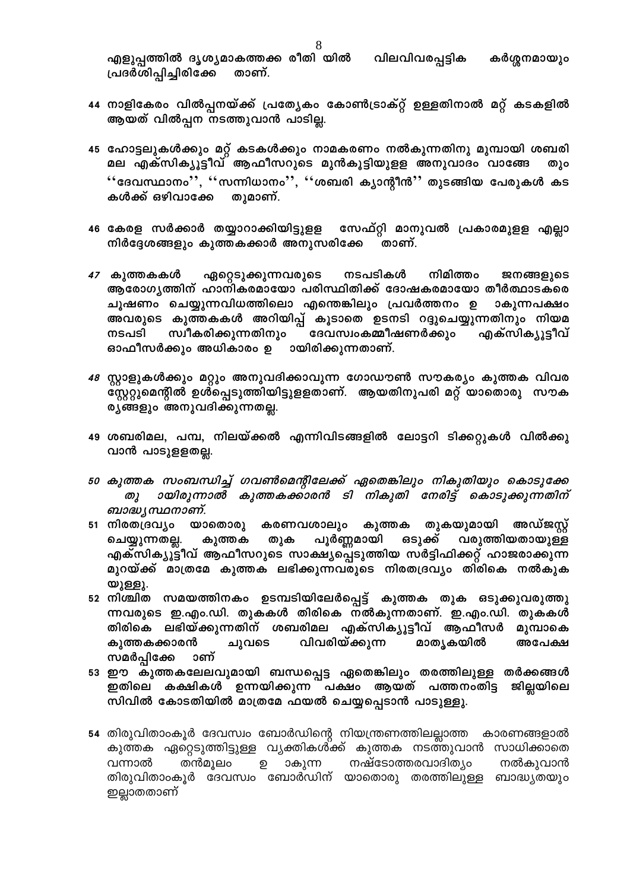വിലവിവരപ്പട്ടിക എളുപ്പത്തിൽ ദൃശൃമാകത്തക്ക രീതി യിൽ കർശ്ശനമായും പ്രദർശിപ്പിച്ചിരിക്കേ താണ്.

- 44 നാളികേരം വിൽപ്പനയ്ക്ക് പ്രത്യേകം കോൺട്രാക്റ്റ് ഉള്ളതിനാൽ മറ്റ് കടകളിൽ ആയത് വിൽപ്പന നടത്തുവാൻ പാടില്ല.
- 45 ഹോട്ടലുകൾക്കും മറ്റ് കടകൾക്കും നാമകരണം നൽകുന്നതിനു മുമ്പായി ശബരി മല എക്സിക്യൂട്ടീവ് ആഫീസറുടെ മുൻകൂട്ടിയുളള അനുവാദം വാങ്ങേ തും  $``$ ദേവസ്ഥാനം $'$ ,  $``$ സന്നിധാനം $''$ ,  $``$ ശബരി ക്യാന്റീൻ $"$  തുടങ്ങിയ പേരുകൾ കട കൾക്ക് ഒഴിവാക്കേ തുമാണ്.
- സേഫ്റ്റി മാനുവൽ പ്രകാരമുളള എല്ലാ 46 കേരള സർക്കാർ തയ്യാറാക്കിയിട്ടുളള നിർദ്ദേശങ്ങളും കുത്തകക്കാർ അനുസരിക്കേ താണ്.
- നിമിത്തം 47 കുത്തകകൾ ഏറ്റെടുക്കുന്നവരുടെ നടപടികൾ ജനങ്ങളുടെ ആരോഗ്യത്തിന് ഹാനികരമായോ പരിസ്ഥിതിക്ക് ദോഷകരമായോ തീർത്ഥാടകരെ ചൂഷണം ചെയ്യുന്നവിധത്തിലൊ എന്തെങ്കിലും പ്രവർത്തനം ഉ ാകുന്നപക്ഷം അവരുടെ കുത്തകകൾ അറിയിപ്പ് കൂടാതെ ഉടനടി റദ്ദുചെയ്യുന്നതിനും നിയമ ് ദേവസ്വംകമ്മീഷണർക്കും എക്സിക്യൂട്ടീവ് സ്വീകരിക്കുന്നതിനും നടപടി ഓഫീസർക്കും അധികാരം ഉ ായിരിക്കുന്നതാണ്.
- 48 സ്റ്റാളുകൾക്കും മറ്റും അനുവദിക്കാവുന്ന ഗോഡൗൺ സൗകര്യം കുത്തക വിവര  $\stackrel{..}{\mathfrak{C}}$ സ്റ്ററുമെന്റിൽ ഉൾപ്പെടുത്തിയിട്ടുളളതാണ്. ആയതിനുപരി മറ്റ് യാതൊരു സൗക ര്യങ്ങളും അനുവദിക്കുന്നതല്ല.
- 49 ശബരിമല, പമ്പ, നിലയ്ക്കൽ എന്നിവിടങ്ങളിൽ ലോട്ടറി ടിക്കറ്റുകൾ വിൽക്കു വാൻ പാടുളളതല്ല.
- 50 കുത്തക സംബന്ധിച്ച് ഗവൺമെന്റിലേക്ക് ഏതെങ്കിലും നികുതിയും കൊടുക്കേ ായിരുന്നാൽ കുത്തകക്കാരൻ ടി നികുതി നേരിട്ട് കൊടുക്കുന്നതിന് തു $\lambda$ ബാദ്ധ്യ സ്ഥനാണ്.
- 51 നിരതദ്രവ്യം യാതൊരു കരണവശാലും കുത്തക തുകയുമായി അഡ്ജസ്റ്റ് പൂർണ്ണമായി ഒടുക്ക് വരുത്തിയതായുള്ള ചെയ്യുന്നതല്ല. കുത്തക തുക എക്സിക്യൂട്ടീവ് ആഫീസറുടെ സാക്ഷ്യപ്പെടുത്തിയ സർട്ടിഫിക്കറ്റ് ഹാജരാക്കുന്ന മുറയ്ക്ക് മാത്രമേ കുത്തക ലഭിക്കുന്നവരുടെ നിരതദ്രവ്യം തിരികെ നൽകുക യുള്ളു.
- 52 നിശ്ചിത സമയത്തിനകം ഉടമ്പടിയിലേർപ്പെട്ട് കുത്തക തുക ഒടുക്കുവരുത്തു ന്നവരുടെ ഇ.എം.ഡി. തുകകൾ തിരികെ നൽകുന്നതാണ്. ഇ.എം.ഡി. തുകകൾ തിരികെ ലഭിയ്ക്കുന്നതിന് ശബരിമല എക്സിക്യൂട്ടീവ് ആഫീസർ മുമ്പാകെ വിവരിയ്ക്കുന്ന മാതൃകയിൽ കുത്തകക്കാരൻ ചുവടെ അപേക്ഷ സമർപ്പിക്കേ ാണ്
- 53 ഈ കുത്തകലേലവുമായി ബന്ധപ്പെട്ട ഏതെങ്കിലും തരത്തിലുള്ള തർക്കങ്ങൾ ഇതിലെ കക്ഷികൾ ഉന്നയിക്കുന്ന<sup>്</sup> പക്ഷം ആയത് പത്തനംതിട്ട ജില്ലയിലെ സിവിൽ കോടതിയിൽ മാത്രമേ ഫയൽ ചെയ്യപ്പെടാൻ പാടുള്ളു.
- 54 തിരുവിതാംകൂർ ദേവസ്വം ബോർഡിന്റെ നിയന്ത്രണത്തിലല്ലാത്ത കാരണങ്ങളാൽ കുത്തക ഏറ്റെടുത്തിട്ടുള്ള വ്യക്തികൾക്ക് കുത്തക നടത്തുവാൻ സാധിക്കാതെ ാകുന്ന നഷ്ടോത്തരവാദിത്യം തൻമൂലം ூ നൽകുവാൻ വന്നാൽ തിരുവിതാംകൂർ ദേവസ്വം ബോർഡിന് യാതൊരു തരത്തിലുള്ള ബാദ്ധ്യതയും ഇല്ലാതതാണ്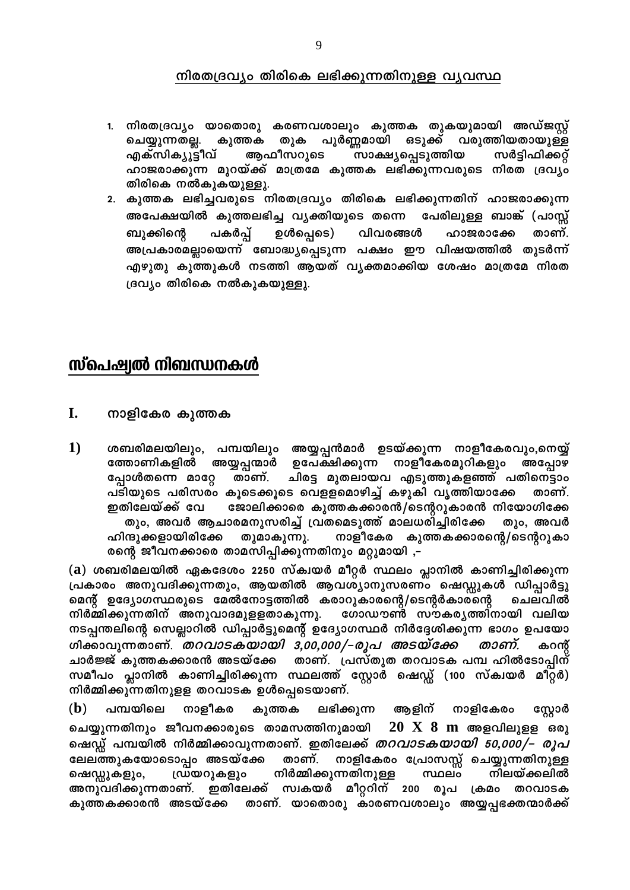### നിരതദ്രവ്യം തിരികെ ലഭിക്കുന്നതിനുള്ള വ്യവസ്ഥ

- 1. നിരതദ്രവ്യം യാതൊരു കരണവശാലും കുത്തക തുകയുമായി അഡ്ജസ്റ്റ് ചെയ്യുന്നതല്ല. കുത്തക തുക പൂർണ്ണമായി ഒടുക്ക് വരുത്തിയതായുള്ള <sup>ന്ധാക്ഷ്യപ്പെടുത്തിയ</sup> സർട്ടിഫിക്കറ്റ് എക്സിക്യൂട്ടീവ് ആഫീസറുടെ ഹാജരാക്കുന്ന മുറയ്ക്ക് മാത്രമേ കുത്തക ലഭിക്കുന്നവരുടെ നിരത ദ്രവ്യം തിരികെ നൽകുകയുള്ളു.
- 2. കുത്തക ലഭിച്ചവരുടെ നിരതദ്രവ്യം തിരികെ ലഭിക്കുന്നതിന് ഹാജരാക്കുന്ന അപേക്ഷയിൽ കുത്തലഭിച്ച വ്യക്തിയുടെ തന്നെ പേരിലുള്ള ബാങ്ക് (പാസ്സ് ഉൾപ്പെടെ) പകർപ്പ് വിവരങ്ങൾ ഹാജരാക്കേ താണ്. ബുക്കിന്റെ അപ്രകാരമല്ലായെന്ന് ബോദ്ധ്യപ്പെടുന്ന പക്ഷം ഈ വിഷയത്തിൽ തുടർന്ന് എഴുതു കുത്തുകൾ നടത്തി ആയത് വ്യക്തമാക്കിയ ശേഷം മാത്രമേ നിരത ദ്രവ്യം തിരികെ നൽകുകയുള്ളു.

# സ്പെഷ്വൽ നിബന്ധനകൾ

- I. നാളികേര കുത്തക
- 1) ശബരിമലയിലും, പമ്പയിലും അയ്യപ്പൻമാർ ഉടയ്ക്കുന്ന നാളീകേരവും,നെയ്യ് ത്തോണികളിൽ അയ്യപ്പന്മാർ ഉപേക്ഷിക്കുന്ന നാളീകേരമുറികളും അപ്പോഴ പ്പോൾതന്നെ മാറ്റേ താണ്. ചിരട്ട മുതലായവ എടുത്തുകളഞ്ഞ് പതിനെട്ടാം പടിയുടെ പരിസരം കൂടെക്കൂടെ വെളളമൊഴിച്ച് കഴുകി വൃത്തിയാക്കേ താണ്. ഇതിലേയ്ക്ക് വേ ജോലിക്കാരെ കുത്തകക്കാരൻ/ടെന്ററുകാരൻ നിയോഗിക്കേ തും, അവർ ആചാരമനുസരിച്ച് വ്രതമെടുത്ത് മാലധരിച്ചിരിക്കേ തും, അവർ ഹിന്ദുക്കളായിരിക്കേ തുമാകുന്നു. നാളീകേര കുത്തകക്കാരന്റെ/ടെന്ററുകാ രന്റെ ജീവനക്കാരെ താമസിപ്പിക്കുന്നതിനും മറ്റുമായി ,–

(a) ശബരിമലയിൽ ഏകദേശം 2250 സ്ക്വയർ മീറ്റർ സ്ഥലം പ്ലാനിൽ കാണിച്ചിരിക്കുന്ന പ്രകാരം അനുവദിക്കുന്നതും, ആയതിൽ ആവശ്യാനുസരണം ഷെഡ്ഡുകൾ ഡിപ്പാർട്ടു മെന്റ് ഉദ്യോഗസ്ഥരുടെ മേൽനോട്ടത്തിൽ കരാറുകാരന്റെ/ടെന്റർകാരന്റെ ചെലവിൽ നിർമ്മിക്കുന്നതിന് അനുവാദമുളളതാകുന്നു. ഗോഡൗൺ സൗകര്യത്തിനായി വലിയ നടപ്പന്തലിന്റെ സെല്ലാറിൽ ഡിപ്പാർട്ടുമെന്റ് ഉദ്യോഗസ്ഥർ നിർദ്ദേശിക്കുന്ന ഭാഗം ഉപയോ ശിക്കാവുന്നതാണ്. *തറവാടകയായി 3,00,000/–രൂപ അടയ്ക്കേ* താണ്. കറന്റ ചാർജ്ജ് കുത്തകക്കാരൻ അടയ്ക്കേ താണ്. പ്രസ്തുത തറവാടക പമ്പ ഹിൽടോപ്പിന് സമീപം പ്ലാനിൽ കാണിച്ചിരിക്കുന്ന സ്ഥലത്ത് സ്റ്റോർ ഷെഡ്ഡ് (100 സ്ക്വയർ മീറ്റർ) നിർമ്മിക്കുന്നതിനുളള തറവാടക ഉൾപ്പെടെയാണ്.

 $(b)$ നാളീകര പമ്പയിലെ കുത്തക ലഭിക്കുന്ന ആളിന് നാളികേരം സ്റ്റോർ  $20 \times 8$  m അളവിലുളള ഒരു ചെയ്യുന്നതിനും ജീവനക്കാരുടെ താമസത്തിനുമായി ഷെഡ്ഡ് പമ്പയിൽ നിർമ്മിക്കാവുന്നതാണ്. ഇതിലേക്ക് *തറവാടകയായി 50,000/– രൂപ* ലേലത്തുകയോടൊപ്പം അടയ്ക്കേ താണ്. നാളികേരം പ്രോസസ്സ് ചെയ്യുന്നതിനുള്ള ഡ്രയറുകളും നിർമ്മിക്കുന്നതിനുള്ള സ്ഥലം നിലയ്ക്കലിൽ ഷെഡ്ഡുകളും, അനുവദിക്കുന്നതാണ്. ഇതിലേക്ക് സ്വകയർ മീറ്ററിന് 200 രൂപ ക്രമം തറവാടക കുത്തകക്കാരൻ അടയ്ക്കേ താണ്. യാതൊരു കാരണവശാലും അയ്യപ്പഭക്തന്മാർക്ക്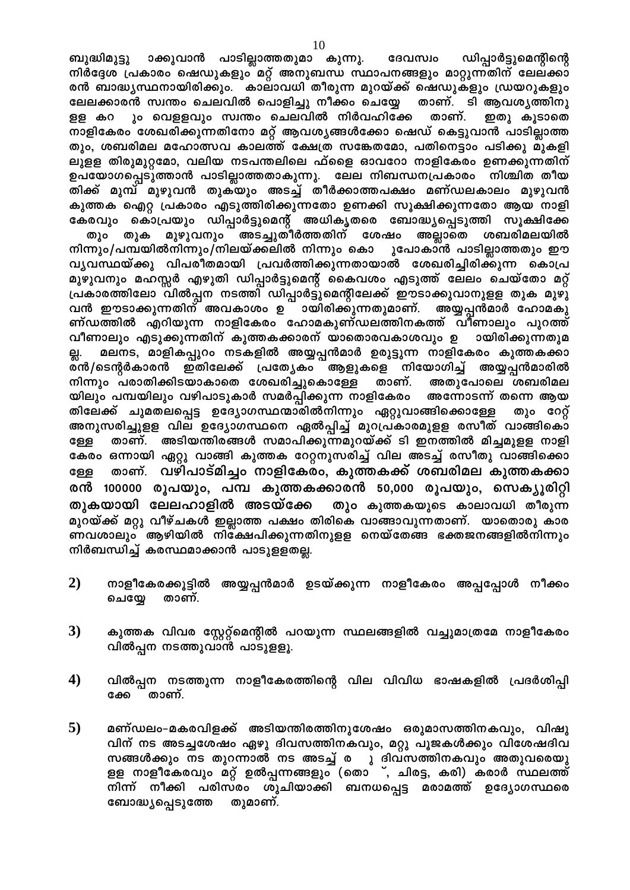ാക്കുവാൻ പാടില്ലാത്തതുമാ കുന്നു. ബുദ്ധിമുട്ടു ദേവസ്വം ഡിപ്പാർട്ടുമെന്റിന്റെ നിർദ്ദേശ പ്രകാരം ഷെഡുകളും മറ്റ് അനുബന്ധ സ്ഥാപനങ്ങളും മാറ്റുന്നതിന് ലേലക്കാ രൻ ബാദ്ധ്യസ്ഥനായിരിക്കും. കാലാവധി തീരുന്ന മുറയ്ക്ക് ഷെഡുകളും ഡ്രയറുകളും ലേലക്കാരൻ സ്വന്തം ചെലവിൽ പൊളിച്ചു നീക്കം ചെയ്യേ താണ്. ടി ആവശ്യത്തിനു ും വെളളവും സ്വന്തം ചെലവിൽ നിർവഹിക്കേ താണ്. ഇതു കൂടാതെ ളള കറ നാളികേരം ശേഖരിക്കുന്നതിനോ മറ്റ് ആവശ്യങ്ങൾക്കോ ഷെഡ് കെട്ടുവാൻ പാടില്ലാത്ത തും, ശബരിമല മഹോത്സവ കാലത്ത് ക്ഷേത്ര സങ്കേതമോ, പതിനെട്ടാം പടിക്കു മുകളി ലുളള തിരുമുറ്റമോ, വലിയ നടപന്തലിലെ ഫ്ളൈ ഓവറോ നാളികേരം ഉണക്കുന്നതിന് ഉപയോഗപ്പെടുത്താൻ പാടില്ലാത്തതാകുന്നു. ലേല നിബന്ധനപ്രകാരം നിശ്ചിത തീയ തിക്ക് മുമ്പ് മുഴുവൻ തുകയും അടച്ച് തീർക്കാത്തപക്ഷം മണ്ഡലകാലം മുഴുവൻ കുത്തക ഐറ്റ പ്രകാരം എടുത്തിരിക്കുന്നതോ ഉണക്കി സൂക്ഷിക്കുന്നതോ ആയ നാളി കേരവും കൊപ്രയും ഡിപ്പാർട്ടുമെന്റ് അധികൃതരെ ബോദ്ധ്യപ്പെടുത്തി സൂക്ഷിക്കേ മുഴുവനും അടച്ചുതീർത്തതിന് ശേഷം അല്ലാതെ തും തുക ശബരിമലയിൽ നിന്നും/പമ്പയിൽനിന്നും/നിലയ്ക്കലിൽ നിന്നും കൊ ുപോകാൻ പാടില്ലാത്തതും ഈ വ്യവസ്ഥയ്ക്കു വിപരീതമായി പ്രവർത്തിക്കുന്നതായാൽ ശേഖരിച്ചിരിക്കുന്ന കൊപ്ര മുഴുവനും മഹസ്സർ എഴുതി ഡിപ്പാർട്ടുമെന്റ് കൈവശം എടുത്ത് ലേലം ചെയ്തോ മറ്റ് പ്രകാരത്തിലോ വിൽപ്പന നടത്തി ഡിപ്പാർട്ടുമെന്റിലേക്ക് ഈടാക്കുവാനുളള തുക മുഴു വൻ ഈടാക്കുന്നതിന് അവകാശം ഉ ായിരിക്കുന്നതുമാണ്. അയ്യപ്പൻമാർ ഹോമകു ണ്ഡത്തിൽ എറിയുന്ന നാളികേരം ഹോമകുണ്ഡലത്തിനകത്ത് വിണാലും പുറത്ത് വീണാലും എടുക്കുന്നതിന് കുത്തകക്കാരന് യാതൊരവകാശവും ഉ ായിരിക്കുന്നതുമ മലനട, മാളികപ്പുറം നടകളിൽ അയ്യപ്പൻമാർ ഉരുട്ടുന്ന നാളികേരം കുത്തകക്കാ ല്ല. ര്ൻ/ടെന്റർകാരൻ ഇതിലേക്ക് പ്രത്യേകം ആളുകളെ നിയോഗിച്ച് അയ്യപ്പൻമാരിൽ നിന്നും പരാതിക്കിടയാകാതെ ശേഖരിച്ചുകൊള്ളേ താണ്. അതുപോലെ ശബരിമല യിലും പമ്പയിലും വഴിപാടുകാർ സമർപ്പിക്കുന്ന നാളികേരം അന്നോടന്ന് തന്നെ ആയ തിലേക്ക് ചുമതലപ്പെട്ട ഉദ്യോഗസ്ഥന്മാരിൽനിന്നും ഏറ്റുവാങ്ങിക്കൊള്ളേ തും റേറ്റ് അനുസരിച്ചുളള വില ഉദ്യോഗസ്ഥനെ ഏൽപ്പിച്ച് മുറപ്രകാരമുളള രസിത് വാങ്ങികൊ താണ്. അടിയന്തിരങ്ങൾ സമാപിക്കുന്നമുറയ്ക്ക് ടി ഇനത്തിൽ മിച്ചമുളള നാളി ള്ളേ കേരം ഒന്നായി ഏറ്റു വാങ്ങി കുത്തക റേറ്റനുസരിച്ച് വില അടച്ച് രസീതു വാങ്ങിക്കൊ താണ്. വഴിപാട്മിച്ചം നാളികേരം, കുത്തകക്ക് ശബരിമല കുത്തകക്കാ ളേള രൻ 100000 രൂപയും, പമ്പ കുത്തകക്കാരൻ 50,000 രൂപയും, സെക്യൂരിറ്റി തുകയായി ലേലഹാളിൽ അടയ്ക്കേ തും കുത്തകയുടെ കാലാവധി തീരുന്ന മുറയ്ക്ക് മറ്റു വീഴ്ചകൾ ഇല്ലാത്ത പക്ഷം തിരികെ വാങ്ങാവുന്നതാണ്. യാതൊരു കാര ണവശാലും ആഴിയിൽ നിക്ഷേപിക്കുന്നതിനുളള നെയ്തേങ്ങ ഭക്തജനങ്ങളിൽനിന്നും നിർബന്ധിച്ച് കരസ്ഥമാക്കാൻ പാടുളളതല്ല.

- $2)$ നാളീകേരക്കൂട്ടിൽ അയ്യപ്പൻമാർ ഉടയ്ക്കുന്ന നാളീകേരം അപ്പപ്പോൾ നീക്കം ചെയ്യേ താണ്.
- $3)$ കുത്തക വിവര സ്റ്റേറ്റ്മെന്റിൽ പറയുന്ന സ്ഥലങ്ങളിൽ വച്ചുമാത്രമേ നാളീകേരം വിൽപ്പന നടത്തുവാൻ പാടുളളൂ.
- $4)$ വിൽപ്പന നടത്തുന്ന നാളീകേരത്തിന്റെ വില വിവിധ ഭാഷകളിൽ പ്രദർശിപ്പി താണ്. ക്കേ
- $5)$ മണ്ഡലം-മകരവിളക്ക് അടിയന്തിരത്തിനുശേഷം ഒരുമാസത്തിനകവും, വിഷു വിന് നട അടച്ചശേഷം ഏഴു ദിവസത്തിനകവും, മറ്റു പൂജകൾക്കും വിശേഷദിവ സങ്ങൾക്കും നട തുറന്നാൽ നട അടച്ച് ര ു ദിവസത്തിനകവും അതുവരെയു ളള നാളീകേരവും മറ്റ് ഉൽപ്പന്നങ്ങളും (തൊ ്, ചിരട്ട, കരി) കരാർ സ്ഥലത്ത് നിന്ന് നീക്കി പരിസരം ശുചിയാക്കി ബനധപ്പെട്ട മരാമത്ത് ഉദ്യോഗസ്ഥരെ ബോദ്ധ്യപ്പെടുത്തേ തുമാണ്.

10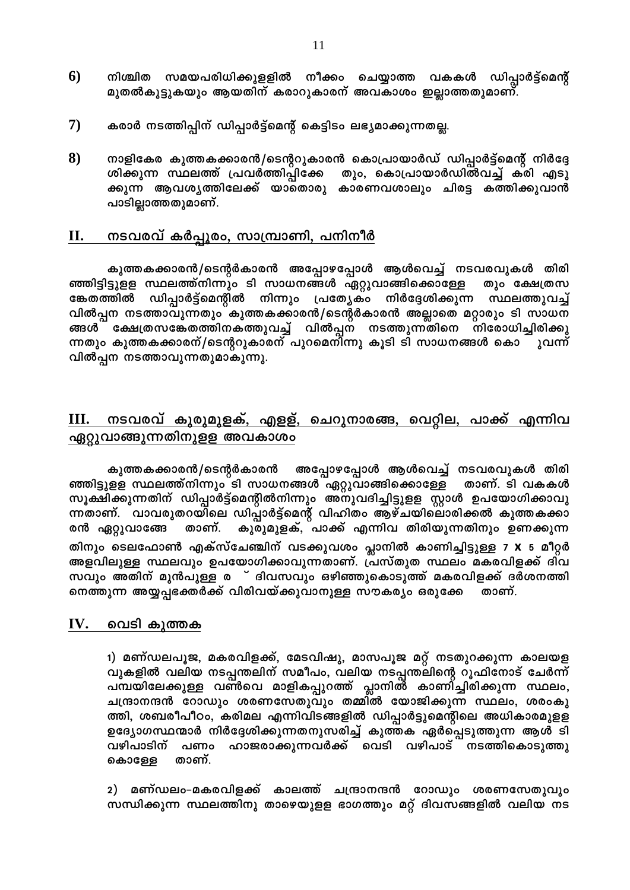- $6)$ നീക്കം ചെയ്യാത്ത വകകൾ ഡിപ്പാർട്ട്മെന്റ് നിശ്ചിത സമയപരിധിക്കുളളിൽ മുതൽകൂട്ടുകയും ആയതിന് കരാറുകാരന് അവകാശം ഇല്ലാത്തതുമാണ്.
- $\mathbf{7}$ കരാർ നടത്തിപ്പിന് ഡിപ്പാർട്ട്മെന്റ് കെട്ടിടം ലഭ്യമാക്കുന്നതല്ല.
- 8) നാളികേര കുത്തകക്കാരൻ/ടെന്ററുകാരൻ കൊപ്രായാർഡ് ഡിപ്പാർട്ട്മെന്റ് നിർദ്ദേ ശിക്കുന്ന സ്ഥലത്ത് പ്രവർത്തിപ്പിക്കേ തും, കൊപ്രായാർഡിൽവച്ച് കരി എടു ക്കുന്ന ആവശ്യത്തിലേക്ക് യാതൊരു കാരണവശാലും ചിരട്ട കത്തിക്കുവാൻ പാടില്ലാത്തതുമാണ്.

#### <u>നടവരവ് കർപ്പൂരം, സാമ്പ്രാണി, പനിനീർ</u> П.

കുത്തകക്കാരൻ/ടെന്റർകാരൻ അപ്പോഴപ്പോൾ ആൾവെച്ച് നടവരവുകൾ തിരി ഞ്ഞിട്ടിട്ടുളള സ്ഥലത്ത്നിന്നും ടി സാധനങ്ങൾ ഏറ്റുവാങ്ങിക്കൊള്ളേ തും ക്ഷേത്രസ ഡിപ്പാർട്ട്മെന്റിൽ നിന്നും പ്രത്യേകം ങ്കേതത്തിൽ നിർദ്ദേശിക്കുന്ന സ്ഥലത്തുവച്ച് വിൽപ്പന നടത്താവുന്നതും കുത്തകക്കാരൻ/ടെന്റർകാരൻ അല്ലാതെ മറ്റാരും ടി സാധന ങ്ങൾ ക്ഷേത്രസങ്കേതത്തിനകത്തുവച്ച് വിൽപ്പന നടത്തുന്നതിനെ നിരോധിച്ചിരിക്കു ന്നതും കുത്തകക്കാരന്/ടെന്ററുകാരന് പുറമെനിന്നു കൂടി ടി സാധനങ്ങൾ കൊ ുവന്ന് വിൽപ്പന നടത്താവുന്നതുമാകുന്നു.

### നടവരവ് കുരുമുളക്, എളള്, ചെറുനാരങ്ങ, വെറ്റില, പാക്ക് എന്നിവ Ш. ഏറ്റുവാങ്ങുന്നതിനുളള അവകാശം

അപ്പോഴപ്പോൾ ആൾവെച്ച് നടവരവുകൾ തിരി കുത്തകക്കാരൻ/ടെന്റർകാരൻ ഞ്ഞിട്ടുളള സ്ഥലത്ത്നിന്നും ടി സാധനങ്ങൾ ഏറ്റുവാങ്ങിക്കൊള്ളേ താണ്. ടി വകകൾ സൂക്ഷിക്കുന്നതിന് ഡിപ്പാർട്ട്മെന്റിൽനിന്നും അനുവദിച്ചിട്ടുളള സ്റ്റാൾ ഉപയോഗിക്കാവു ന്നതാണ്. വാവരുതറയിലെ ഡിപ്പാർട്ട്മെന്റ് വിഹിതം ആഴ്ചയിലൊരിക്കൽ കുത്തകക്കാ കുരുമുളക്,്പാക്ക് എന്നിവ തിരിയുന്നതിനും ഉണക്കുന്ന താണ്. രൻ ഏറ്റുവാങ്ങേ തിനും ടെലഫോൺ എക്സ്ചേഞ്ചിന് വടക്കുവശം പ്ലാനിൽ കാണിച്ചിട്ടുള്ള 7 X 5 മീറ്റർ അളവിലുള്ള സ്ഥലവും ഉപയോഗിക്കാവുന്നതാണ്. പ്രസ്തുത സ്ഥലം മകരവിളക്ക് ദിവ നെത്തുന്ന അയ്യപ്പഭക്തർക്ക് വിരിവയ്ക്കുവാനുള്ള സൗകര്യം ഒരുക്കേ താണ്.

#### IV. വെടി കുത്തക

1) മണ്ഡലപൂജ, മകരവിളക്ക്, മേടവിഷു, മാസപൂജ മറ്റ് നടതുറക്കുന്ന കാലയള വുകളിൽ വലിയ നടപ്പന്തലിന് സമീപം, വലിയ നടപ്പന്തലിന്റെ റൂഫിനോട് ചേർന്ന് പമ്പയിലേക്കുള്ള വൺവെ മാളികപ്പുറത്ത് പ്ലാനിൽ കാണിച്ചിരിക്കുന്ന സ്ഥലം, ചന്ദ്രാനന്ദൻ റോഡും ശരണസേതുവും തമ്മിൽ യോജിക്കുന്ന സ്ഥലം, ശരംകു ത്തി, ശബരീപീഠം, കരിമല എന്നിവിടങ്ങളിൽ ഡിപ്പാർട്ടുമെന്റിലെ അധികാരമുളള ഉദ്യോഗസ്ഥന്മാർ നിർദ്ദേശിക്കുന്നതനുസരിച്ച് കുത്തക ഏർപ്പെടുത്തുന്ന ആൾ ടി വഴിപാടിന് പണം ഹാജരാക്കുന്നവർക്ക് വെടി വഴിപാട് നടത്തികൊടുത്തു താണ്. കൊള്ളേ

2) മണ്ഡലം–മകരവിളക്ക് കാലത്ത് ചന്ദ്രാനന്ദൻ റോഡും ശരണസേതുവും സന്ധിക്കുന്ന സ്ഥലത്തിനു താഴെയുളള ഭാഗത്തും മറ്റ് ദിവസങ്ങളിൽ വലിയ നട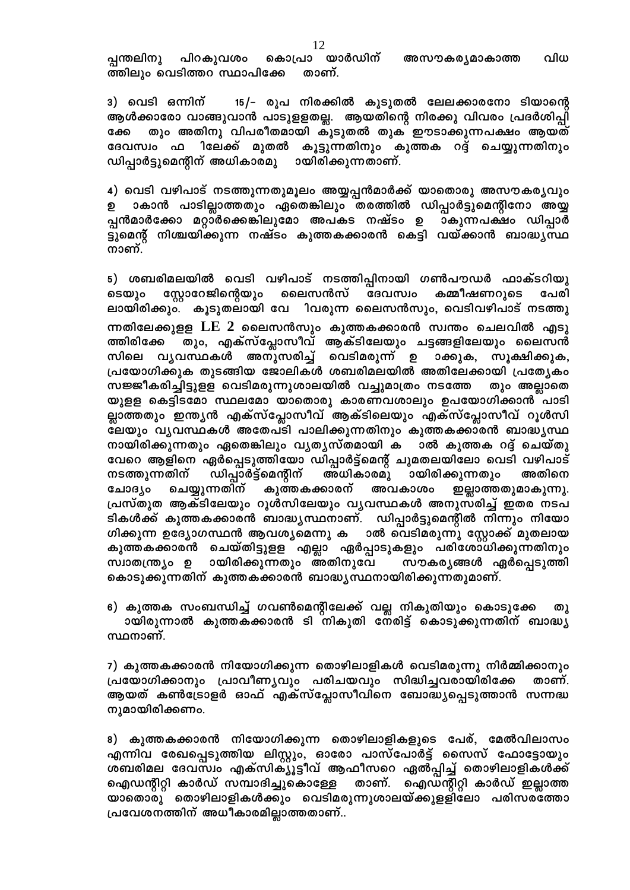കൊപ്രാ യാർഡിന് പിറകുവശം വിധ പ്പന്തലിനു അസൗകര്യമാകാത്ത ത്തിലും വെടിത്തറ സ്ഥാപിക്കേ താണ്.

3) വെടി ഒന്നിന് 15/– രൂപ നിരക്കിൽ കൂടുതൽ ലേലക്കാരനോ ടിയാന്റെ ആൾക്കാരോ വാങ്ങുവാൻ പാടുളളതല്ല. ആയതിന്റെ നിരക്കു വിവരം പ്രദർശിപ്പി തും അതിനു വിപരീതമായി കൂടുതൽ തുക ഈടാക്കുന്നപക്ഷം ആയത് ക്കേ ദേവസ്വം ഫ ിലേക്ക് മുതൽ കൂട്ടുന്നതിനും കുത്തക റദ്ദ് ചെയ്യുന്നതിനും ഡിപ്പാർട്ടുമെന്റിന് അധികാരമു ായിരിക്കുന്നതാണ്.

4) വെടി വഴിപാട് നടത്തുന്നതുമൂലം അയ്യപ്പൻമാർക്ക് യാതൊരു അസൗകര്യവും ാകാൻ പാടില്ലാത്തതും ഏതെങ്കിലും തരത്തിൽ ഡിപ്പാർട്ടുമെന്റിനോ അയ്യ പ്പൻമാർക്കോ മറ്റാർക്കെങ്കിലുമോ അപകട നഷ്ടം ഉ ാകുന്നപക്ഷം ഡിപ്പാർ ട്ടുമെന്റ് നിശ്ചയിക്കുന്ന നഷ്ടം കുത്തകക്കാരൻ കെട്ടി വയ്ക്കാൻ ബാദ്ധ്യസ്ഥ നാണ്.

5) ശബരിമലയിൽ വെടി വഴിപാട് നടത്തിപ്പിനായി ഗൺപൗഡർ ഫാക്ടറിയു സ്റ്റോറേജിന്റെയും ലൈസൻസ് ദേവസ്വം കമ്മീഷണറുടെ പേരി ടെയും ലായിരിക്കും. കൂടുതലായി വേ ിവരുന്ന ലൈസൻസും, വെടിവഴിപാട് നടത്തു ന്നതിലേക്കുളള  $\rm LE\,$  2 ലൈസൻസും കുത്തകക്കാരൻ സ്വന്തം ചെലവിൽ എടു തും, എക്സ്പ്ലോസീവ് ആക്ടിലേയും ചട്ടങ്ങളിലേയും ലൈസൻ ത്തിരിക്കേ സിലെ വൃവസ്ഥകൾ അനുസരിച്ച് വെടിമരുന്ന് ഉ ാക്കുക, സൂക്ഷിക്കുക, പ്രയോഗിക്കുക തുടങ്ങിയ ജോലികൾ ശബരിമലയിൽ അതിലേക്കായി പ്രത്യേകം സജ്ജീകരിച്ചിട്ടുളള വെടിമരുന്നുശാലയിൽ വച്ചുമാത്രം നടത്തേ തും അല്ലാതെ യുളള കെട്ടിടമോ സ്ഥലമോ യാതൊരു കാരണവശാലും ഉപയോഗിക്കാൻ പാടി ല്ലാത്തതും ഇന്ത്യൻ എക്സ്പ്ലോസീവ് ആക്ടിലെയും എക്സ്പ്ലോസീവ് റൂൾസി ലേയും വൃവസ്ഥകൾ അതേപടി പാലിക്കുന്നതിനും കുത്തകക്കാരൻ ബാദ്ധൃസ്ഥ നായിരിക്കുന്നതും ഏതെങ്കിലും വൃതൃസ്തമായി ക ാൽ കുത്തക റദ്ദ് ചെയ്തു വേറെ ആളിനെ ഏർപ്പെടുത്തിയോ ഡിപ്പാർട്ട്മെന്റ് ചുമതലയിലോ വെടി വഴിപാട് ഡിപ്പാർട്ട്മെന്റിന് നടത്തുന്നതിന് അധികാരമു ായിരിക്കുന്നതും അതിനെ ചോദൃം ചെയ്യുന്നതിന് കുത്തകക്കാരന് അവകാശം ഇല്ലാത്തതുമാകുന്നു. പ്രസ്തുത ആക്ടിലേയും റൂൾസിലേയും വൃവസ്ഥകൾ അനുസരിച്ച് ഇതര നടപ ടികൾക്ക് കുത്തകക്കാരൻ ബാദ്ധ്യസ്ഥനാണ്. ഡിപ്പാർട്ടുമെന്റിൽ നിന്നും നിയോ ഗിക്കുന്ന ഉദ്യോഗസ്ഥൻ ആവശ്യമെന്നു ക ാൽ വെടിമരുന്നു സ്റ്റോക്ക് മുതലായ കുത്തകക്കാരൻ ചെയ്തിട്ടുളള എല്ലാ ഏർപ്പാടുകളും പരിശോധിക്കുന്നതിനും സ്വാതന്ത്ര്യം ഉ ായിരിക്കുന്നതും അതിനുവേ സൗകര്യങ്ങൾ ഏർപ്പെടുത്തി കൊടുക്കുന്നതിന് കുത്തകക്കാരൻ ബാദ്ധ്യസ്ഥനായിരിക്കുന്നതുമാണ്.

6) കുത്തക സംബന്ധിച്ച് ഗവൺമെന്റിലേക്ക് വല്ല നികുതിയും കൊടുക്കേ തു ായിരുന്നാൽ കുത്തകക്കാരൻ ടി നികുതി നേരിട്ട് കൊടുക്കുന്നതിന് ബാദ്ധ്യ സ്ഥനാണ്.

7) കുത്തകക്കാരൻ നിയോഗിക്കുന്ന തൊഴിലാളികൾ വെടിമരുന്നു നിർമ്മിക്കാനും പ്രയോഗിക്കാനും പ്രാവീണ്യവും പരിചയവും സിദ്ധിച്ചവരായിരിക്കേ താണ്. ആയത് കൺട്രോളർ ഓഫ് എക്സ്പ്ലോസീവിനെ ബോദ്ധ്യപ്പെടുത്താൻ സന്നദ്ധ നുമായിരിക്കണം.

8) കുത്തകക്കാരൻ നിയോഗിക്കുന്ന തൊഴിലാളികളുടെ പേര്, മേൽവിലാസം എന്നിവ രേഖപ്പെടുത്തിയ ലിസ്റ്റും, ഓരോ പാസ്പോർട്ട് സൈസ് ഫോട്ടോയും ശബരിമല ദേവസ്വം എക്സിക്യൂട്ടീവ് ആഫീസറെ ഏൽപ്പിച്ച് തൊഴിലാളികൾക്ക് ഐഡന്റിറ്റി കാർഡ് സമ്പാദിച്ചുകൊള്ളേ താണ്. ഐഡസ്റ്റിറ്റി കാർഡ് ഇല്ലാത്ത യാതൊരു തൊഴിലാളികൾക്കും വെടിമരുന്നുശാലയ്ക്കുളളിലോ പരിസരത്തോ പ്രവേശനത്തിന് അധീകാരമില്ലാത്തതാണ്..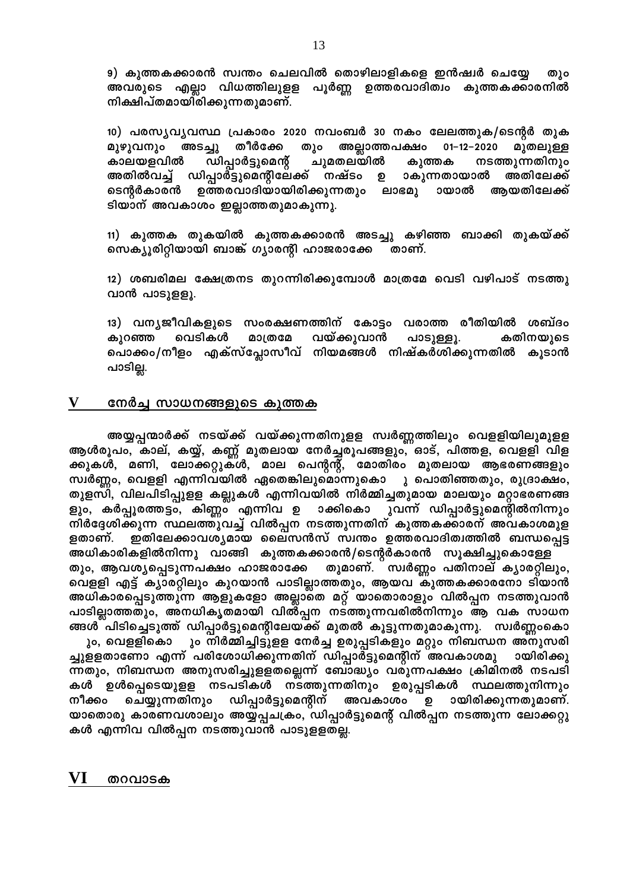9) കുത്തകക്കാരൻ സ്വന്തം ചെലവിൽ തൊഴിലാളികളെ ഇൻഷ്വർ ചെയ്യേ തും അവരുടെ എല്ലാ വിധത്തിലുളള പൂർണ്ണ ഉത്തരവാദിത്വം കുത്തകക്കാരനിൽ നിക്ഷിപ്തമായിരിക്കുന്നതുമാണ്.

10) പരസ്യവൃവസ്ഥ പ്രകാരം 2020 നവംബർ 30 നകം ലേലത്തുക/ടെന്റർ തുക അടച്ചു തീർക്കേ തും അല്ലാത്തപക്ഷം 01–12–2020 മുതലുള്ള മുഴുവനും കാലയളവിൽ ഡിപ്പാർട്ടുമെന്റ് ചുമതലയിൽ കുത്തക നടത്തുന്നതിനും ാകുന്നതായാൽ അതിലേക്ക് അതിൽവച്ച് ഡിപ്പാർട്ടുമെന്റിലേക്ക് നഷ്ടം ഉ ടെന്റർകാരൻ ഉത്തരവാദിയായിരിക്കുന്നതും ലാഭമു ായാൽ ആയതിലേക്ക് ടിയാന് അവകാശം ഇല്ലാത്തതുമാകുന്നു.

11) കുത്തക തുകയിൽ കുത്തകക്കാരൻ അടച്ചു കഴിഞ്ഞ ബാക്കി തുകയ്ക്ക് സെക്യൂരിറ്റിയായി ബാങ്ക് ഗ്യാരന്റി ഹാജരാക്കേ താണ്.

12) ശബരിമല ക്ഷേത്രനട തുറന്നിരിക്കുമ്പോൾ മാത്രമേ വെടി വഴിപാട് നടത്തു വാൻ പാടുളളൂ.

13) വന്യജീവികളുടെ സംരക്ഷണത്തിന് കോട്ടം വരാത്ത രീതിയിൽ ശബ്ദം വയ്ക്കുവാൻ വെടികൾ മാത്രമേ പാടുള്ളൂ. കതിനയുടെ കുറഞ്ഞ പൊക്കം/നീളം എക്സ്പ്ലോസീവ് നിയമങ്ങൾ നിഷ്കർശിക്കുന്നതിൽ കൂടാൻ പാടില്ല.

#### V നേർച്ച സാധനങ്ങളുടെ കുത്തക

അയ്യപ്പന്മാർക്ക് നടയ്ക്ക് വയ്ക്കുന്നതിനുളള സ്വർണ്ണത്തിലും വെളളിയിലുമുളള ആൾരൂപം, കാല്, കയ്യ്, കണ്ണ് മുതലായ നേർച്ചരൂപങ്ങളും, കാട്, പിത്തള, വെളളി വിള ക്കുകൾ, മണി, ലോക്കറ്റുകൾ, മാല പെന്റന്റ്, മോതിരം മുതലായ ആഭരണങ്ങളും സ്വർണ്ണം, വെളളി എന്നിവയിൽ ഏതെങ്കിലുമൊന്നുകൊ ു പൊതിഞ്ഞതും, രുദ്രാക്ഷം, തുളസി, വിലപിടിപ്പുളള കല്ലുകൾ എന്നിവയിൽ നിർമ്മിച്ചതുമായ മാലയും മറ്റാഭരണങ്ങ ളും, കർപ്പൂരത്തട്ടം, കിണ്ണം എന്നിവ ഉ ാക്കികൊ ുവന്ന് ഡിപ്പാർട്ടുമെന്റിൽനിന്നും നിർദ്ദേശിക്കുന്ന സ്ഥലത്തുവച്ച് വിൽപ്പന നടത്തുന്നതിന് കുത്തകക്കാരന് അവകാശമുള ഇതിലേക്കാവശ്യമായ ലൈസൻസ് സ്വന്തം ഉത്തരവാദിത്വത്തിൽ ബന്ധപ്പെട്ട ളതാണ്. അധികാരികളിൽനിന്നു വാങ്ങി കുത്തകക്കാരൻ/ടെന്റർകാരൻ സൂക്ഷിച്ചുകൊള്ളേ തുമാണ്. സ്വർണ്ണം പതിനാല് ക്യാരറ്റിലും, തും, ആവശ്യപ്പെടുന്നപക്ഷം ഹാജരാക്കേ വെളളി എട്ട് ക്യാരറ്റിലും കുറയാൻ പാടില്ലാത്തതും, ആയവ കുത്തകക്കാരനോ ടിയാൻ അധികാരപ്പെടുത്തുന്ന ആളുകളോ അല്ലാതെ മറ്റ് യാതൊരാളും വിൽപ്പന നടത്തുവാൻ പാടില്ലാത്തതും, അനധികൃതമായി വിൽപ്പന നടത്തുന്നവരിൽനിന്നും ആ വക സാധന ങ്ങൾ പിടിച്ചെടുത്ത് ഡിപ്പാർട്ടുമെന്റിലേയക്ക് മുതൽ കൂട്ടുന്നതുമാകുന്നു. സ്വർണ്ണംകൊ ും, വെള്ളികൊ ും നിർമ്മിച്ചിട്ടുളള നേർച്ച ഉരുപ്പടികളും മറ്റും നിബന്ധന അനുസരി ച്ചുളളതാണോ എന്ന് പരിശോധിക്കുന്നതിന് ഡിപ്പാർട്ടുമെന്റിന് അവകാശമു ായിരിക്കു ന്നതും, നിബന്ധന അനുസരിച്ചുളളതല്ലെന്ന് ബോദ്ധ്യം വരുന്നപക്ഷം ക്രിമിനൽ നടപടി കൾ ഉൾപ്പെടെയുളള നടപടികൾ നടത്തുന്നതിനും ഉരുപ്പടികൾ സ്ഥലത്തുനിന്നും

ഡിപ്പാർട്ടുമെന്റിന് ഉ ായിരിക്കുന്നതുമാണ്. നീക്കം ചെയ്യുന്നതിനും അവകാശം യാതൊരു കാരണവശാലും അയ്യപ്പചക്രം, ഡിപ്പാർട്ടുമെന്റ് വിൽപ്പന നടത്തുന്ന ലോക്കറ്റു കൾ എന്നിവ വിൽപ്പന നടത്തുവാൻ പാടുളളതല്ല.

#### VI തറവാടക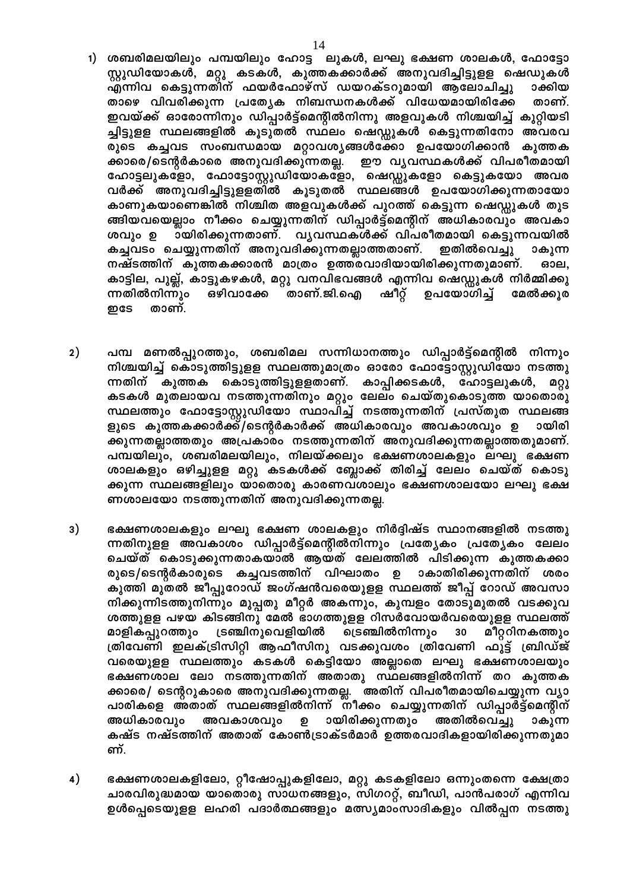- 1) ശബരിമലയിലും പമ്പയിലും ഹോട്ട ലുകൾ, ലഘു ഭക്ഷണ ശാലകൾ, ഫോട്ടോ സ്റ്റുഡിയോകൾ, മറ്റു കടകൾ, കുത്തകക്കാർക്ക് അനുവദിച്ചിട്ടുളള ഷെഡുകൾ എന്നിവ കെട്ടുന്നതിന് ഫയർഫോഴ്സ് ഡയറക്ടറുമായി ആലോചിച്ചു ാക്കിയ താഴെ വിവരിക്കുന്ന പ്രത്യേക നിബന്ധനകൾക്ക് വിധേയമായിരിക്കേ താണ്. ഇവയ്ക്ക് ഓരോന്നിനും ഡിപ്പാർട്ട്മെന്റിൽനിന്നു അളവുകൾ നിശ്ചയിച്ച് കുറ്റിയടി ച്ചിട്ടുളള സ്ഥലങ്ങളിൽ കൂടുതൽ സ്ഥലം ഷെഡ്ഡുകൾ കെട്ടുന്നതിനോ അവരവ രുടെ കച്ചവട സംബന്ധമായ മറ്റാവശ്യങ്ങൾക്കോ ഉപയോഗിക്കാൻ കുത്തക ക്കാരെ/ടെന്റർകാരെ അനുവദിക്കുന്നതല്ല. ഈ വൃവസ്ഥകൾക്ക് വിപരീതമായി ഹോട്ടലുകളോ, ഫോട്ടോസ്റ്റുഡിയോകളോ, ഷെഡ്ഡുകളോ കെട്ടുകയോ അവര വർക്ക് അനുവദിച്ചിട്ടുളളതിൽ കൂടുതൽ സ്ഥലങ്ങൾ ഉപയോഗിക്കുന്നതായോ കാണുകയാണെങ്കിൽ നിശ്ചിത അളവുകൾക്ക് പുറത്ത് കെട്ടുന്ന ഷെഡ്ഡുകൾ തുട ങ്ങിയവയെല്ലാം നീക്കം ചെയ്യുന്നതിന് ഡിപ്പാർട്ട്മെന്റിന് അധികാരവും അവകാ ായിരിക്കുന്നതാണ്. വൃവസ്ഥകൾക്ക് വിപരീതമായി കെട്ടുന്നവയിൽ ശവും ഉ കച്ചവടം ചെയ്യുന്നതിന് അനുവദിക്കുന്നതല്ലാത്തതാണ്. ഇതിൽവെച്ചു ാകുന്ന നഷ്ടത്തിന് കുത്തകക്കാരൻ മാത്രം ഉത്തരവാദിയായിരിക്കുന്നതുമാണ്. ഓല, കാട്ടില, പുല്ല്, കാട്ടുകഴകൾ, മറ്റു വനവിഭവങ്ങൾ എന്നിവ ഷെഡ്ഡുകൾ നിർമ്മിക്കു ന്നതിൽനിന്നും ഒഴിവാക്കേ താണ്.ജി.ഐ ഷീറ്റ് ഉപയോഗിച്ച് മേൽക്കൂര றகே താണ്.
- $2)$ പമ്പ മണൽപ്പുറത്തും, ശബരിമല സന്നിധാനത്തും ഡിപ്പാർട്ട്മെന്റിൽ നിന്നും നിശ്ചയിച്ച് കൊടുത്തിട്ടുളള സ്ഥലത്തുമാത്രം ഓരോ ഫോട്ടോസ്റ്റുഡിയോ നടത്തു ന്നതിന് കുത്തക കൊടുത്തിട്ടുളളതാണ്. കാപ്പിക്കടകൾ, ഹോട്ടലുകൾ, ወ0ነ കടകൾ മുതലായവ നടത്തുന്നതിനും മറ്റും ലേലം ചെയ്തുകൊടുത്ത യാതൊരു സ്ഥലത്തും ഫോട്ടോസ്റ്റുഡിയോ സ്ഥാപിച്ച് നടത്തുന്നതിന് പ്രസ്തുത സ്ഥലങ്ങ ളുടെ കുത്തകക്കാർക്ക്/ടെന്റർകാർക്ക് അധികാരവും അവകാശവും ഉ ായിരി ക്കുന്നതല്ലാത്തതും അപ്രകാരം നടത്തുന്നതിന് അനുവദിക്കുന്നതല്ലാത്തതുമാണ്. പമ്പയിലും, ശബരിമലയിലും, നിലയ്ക്കലും ഭക്ഷണശാലകളും ലഘു ഭക്ഷണ ശാലകളും ഒഴിച്ചുളള മറ്റു കടകൾക്ക് ബ്ലോക്ക് തിരിച്ച് ലേലം ചെയ്ത് കൊടു ക്കുന്ന സ്ഥലങ്ങളിലും യാതൊരു കാരണവശാലും ഭക്ഷണശാലയോ ലഘു ഭക്ഷ ണശാലയോ നടത്തുന്നതിന് അനുവദിക്കുന്നതല്ല.
- ഭക്ഷണശാലകളും ലഘു ഭക്ഷണ ശാലകളും നിർദ്ദിഷ്ട സ്ഥാനങ്ങളിൽ നടത്തു  $3)$ ന്നതിനുളള അവകാശം ഡിപ്പാർട്ട്മെന്റിൽനിന്നും പ്രത്യേകം പ്രത്യേകം ലേലം ചെയ്ത് കൊടുക്കുന്നതാകയാൽ ആയത് ലേലത്തിൽ പിടിക്കുന്ന കുത്തകക്കാ രുടെ/ടെന്റർകാരുടെ കച്ചവടത്തിന് വിഘാതം ഉ ാകാതിരിക്കുന്നതിന് ശരം കുത്തി മുതൽ ജീപ്പുറോഡ് ജംഗ്ഷൻവരെയുളള സ്ഥലത്ത് ജീപ്പ് റോഡ് അവസാ നിക്കുന്നിടത്തുനിന്നും മുപ്പതു മീറ്റർ അകന്നും, കുമ്പളം തോടുമുതൽ വടക്കുവ ശത്തുളള പഴയ കിടങ്ങിനു മേൽ ഭാഗത്തുളള റിസർവോയർവരെയുളള സ്ഥലത്ത് മാളികപ്പുറത്തും ട്രഞ്ചിനുവെളിയിൽ ട്രെഞ്ചിൽനിന്നും മീറ്ററിനകത്തും 30 ത്രിവേണി ഇലക്ട്രിസിറ്റി ആഫീസിനു വടക്കുവശം ത്രിവേണി ഫുട്ട് ബ്രിഡ്ജ് വരെയുളള സ്ഥലത്തും കടകൾ കെട്ടിയോ അല്ലാതെ ലഘു ഭക്ഷണശാലയും ഭക്ഷണശാല ലോ നടത്തുന്നതിന് അതാതു സ്ഥലങ്ങളിൽനിന്ന് തറ കുത്തക ക്കാരെ/ ടെന്ററുകാരെ അനുവദിക്കുന്നതല്ല. അതിന് വിപരീതമായിചെയ്യുന്ന വ്യാ പാരികളെ അതാത് സ്ഥലങ്ങളിൽനിന്ന് നീക്കം ചെയ്യുന്നതിന് ഡിപ്പാർട്ട്മെന്റിന് അധികാരവും അവകാശവും ഉ ായിരിക്കുന്നതും അതിൽവെച്ചു ാകുന്ന കഷ്ട നഷ്ടത്തിന് അതാത് കോൺട്രാക്ടർമാർ ഉത്തരവാദികളായിരിക്കുന്നതുമാ ണ്.
- $4)$ ഭക്ഷണശാലകളിലോ, റ്റീഷോപ്പുകളിലോ, മറ്റു കടകളിലോ ഒന്നുംതന്നെ ക്ഷേത്രാ ചാരവിരുദ്ധമായ യാതൊരു സാധനങ്ങളും, സിഗററ്റ്, ബീഡി, പാൻപരാഗ് എന്നിവ ഉൾപ്പെടെയുളള ലഹരി പദാർത്ഥങ്ങളും മത്സ്യമാംസാദികളും വിൽപ്പന നടത്തു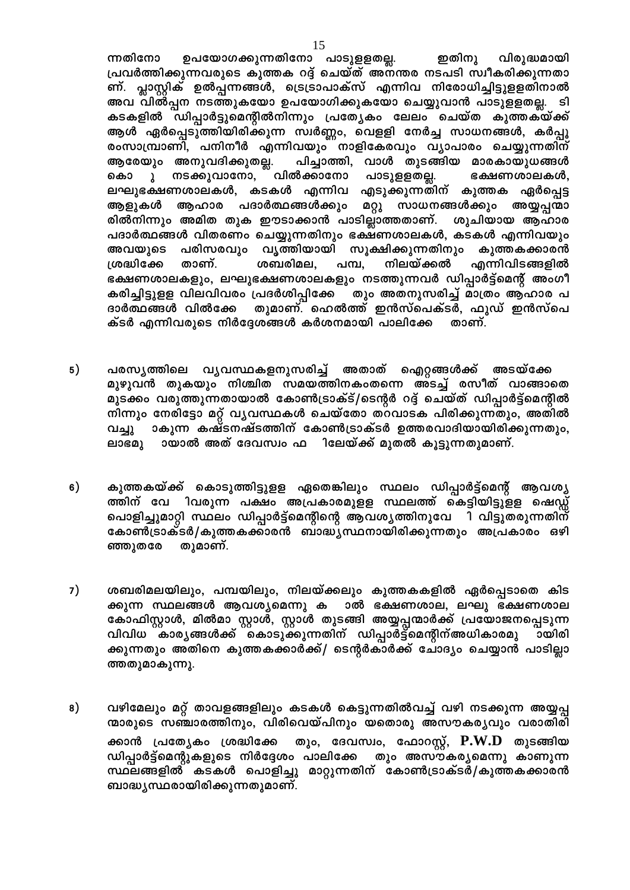ഉപയോഗക്കുന്നതിനോ പാടുളളതല്ല. ഇതിനു ന്നതിനോ വിരുദ്ധമായി പ്രവർത്തിക്കുന്നവരുടെ കുത്തക റദ്ദ് ചെയ്ത് അനന്തര നടപടി സ്വീകരിക്കുന്നതാ ണ്. പ്ലാസ്റ്റിക് ഉൽപ്പന്നങ്ങൾ, ട്രെട്രാപാക്സ് എന്നിവ നിരോധിച്ചിട്ടുളളതിനാൽ അവ വിൽപ്പന നടത്തുകയോ ഉപയോഗിക്കുകയോ ചെയ്യുവാൻ പാടുളളതല്ല. ടി കടകളിൽ ഡിപ്പാർട്ടുമെന്റിൽനിന്നും പ്രത്യേകം ലേലം ചെയ്ത കുത്തക്യ്ക്ക് ആൾ ഏർപ്പെടുത്തിയിരിക്കുന്ന സ്വർണ്ണം, വെളളി നേർച്ച സാധനങ്ങൾ, കർപ്പൂ രംസാമ്പ്രാണി, പനിനീർ എന്നിവയും നാളികേരവും വ്യാപാരം ചെയ്യുന്നതിന് ആരേയും അനുവദിക്കുതല്ല. പിച്ചാത്തി, വാൾ തുടങ്ങിയ മാരകായുധങ്ങൾ പാടുളളതല്ല. ു നടക്കുവാനോ, വിൽക്കാനോ കൊ ഭക്ഷണശാലകൾ, ലഘുഭക്ഷണശാലകൾ, കടകൾ എന്നിവ എടുക്കുന്നതിന് കുത്തക ഏർപ്പെട്ട ആളുകൾ ആഹാര പദാർത്ഥങ്ങൾക്കും മറ്റു സാധനങ്ങൾക്കും അയ്യപ്പന്മാ രിൽനിന്നും അമിത തുക ഈടാക്കാൻ പാടില്ലാത്തതാണ്. ശുചിയായ ആഹാര പദാർത്ഥങ്ങൾ വിതരണം ചെയ്യുന്നതിനും ഭക്ഷണശാലകൾ, കടകൾ എന്നിവയും അവയുടെ പരിസരവും വൃത്തിയായി സൂക്ഷിക്കുന്നതിനും കുത്തകക്കാരൻ താണ്. ശബരിമല, നിലയ്ക്കൽ എന്നിവിടങ്ങളിൽ ശ്രദ്ധിക്കേ പമ്പ, ഭക്ഷണശാലകളും, ലഘുഭക്ഷണശാലകളും നടത്തുന്നവർ ഡിപ്പാർട്ട്മെന്റ് അംഗീ കരിച്ചിട്ടുളള വിലവിവരം പ്രദർശിപ്പിക്കേ തും അതനുസരിച്ച് മാത്രം ആഹാര പ തുമാണ്. ഹെൽത്ത് ഇൻസ്പെക്ടർ, ഫുഡ് ഇൻസ്പെ ദാർത്ഥങ്ങൾ വിൽക്കേ ക്ടർ എന്നിവരുടെ നിർദ്ദേശങ്ങൾ കർശനമായി പാലിക്കേ താണ്.

- പരസ്യത്തിലെ വൃവസ്ഥകളനുസരിച്ച് അതാത് ഐറ്റങ്ങൾക്ക് അടയ്ക്കേ  $5)$ മുഴുവൻ തുകയും നിശ്ചിത സമയത്തിനകംതന്നെ അടച്ച് രസീത് വാങ്ങാതെ മുടക്കം വരുത്തുന്നതായാൽ കോൺട്രാക്ട്/ടെന്റർ റദ്ദ് ചെയ്ത് ഡിപ്പാർട്ട്മെന്റിൽ നിന്നും നേരിട്ടോ മറ്റ് വൃവസ്ഥകൾ ചെയ്തോ തറവാടക പിരിക്കുന്നതും, അതിൽ ാകുന്ന കഷ്ടനഷ്ടത്തിന് കോൺട്രാക്ടർ ഉത്തരവാദിയായിരിക്കുന്നതും, വച്ചു ായാൽ അത് ദേവസ്വം ഫ ിലേയ്ക്ക് മുതൽ കൂട്ടുന്നതുമാണ്. ലാഭമു
- 6) കുത്തകയ്ക്ക് കൊടുത്തിട്ടുളള ഏതെങ്കിലും സ്ഥലം ഡിപ്പാർട്ട്മെന്റ് ആവശ്യ ത്തിന് വേ ിവരുന്ന പക്ഷം അപ്രകാരമുളള സ്ഥലത്ത് കെട്ടിയിട്ടുളള ഷെഡ്ഡ് പൊളിച്ചുമാറ്റി സ്ഥലം ഡിപ്പാർട്ട്മെന്റിന്റെ ആവശ്യത്തിനുവേ ി വിട്ടുതരുന്നതിന് കോൺട്രാക്ടർ/കുത്തകക്കാരൻ ബാദ്ധ്യസ്ഥനായിരിക്കുന്നതും അപ്രകാരം ഒഴി ഞ്ഞുതരേ തുമാണ്.
- ശബരിമലയിലും, പമ്പയിലും, നിലയ്ക്കലും കുത്തകകളിൽ ഏർപ്പെടാതെ കിട 7) ക്കുന്ന സ്ഥലങ്ങൾ ആവശ്യമെന്നു ക ാൽ ഭക്ഷണശാല, ലഘു ഭക്ഷണശാല കോഫിസ്റ്റാൾ, മിൽമാ സ്റ്റാൾ, സ്റ്റാൾ തുടങ്ങി അയ്യപ്പന്മാർക്ക് പ്രയോജനപ്പെടുന്ന<br>വിവിധ കാര്യങ്ങൾക്ക് കൊടുക്കുന്നതിന് ഡിപ്പാർട്ട്മെന്റിന്അധികാരമു ായിരി ായിരി ക്കുന്നതും അതിനെ കുത്തകക്കാർക്ക്/ ടെന്റർകാർക്ക് ചോദ്യം ചെയ്യാൻ പാടില്ലാ ത്തതുമാകുന്നു.
- വഴിമേലും മറ്റ് താവളങ്ങളിലും കടകൾ കെട്ടുന്നതിൽവച്ച് വഴി നടക്കുന്ന അയ്യപ്പ 8) ന്മാരുടെ സഞ്ചാരത്തിനും, വിരിവെയ്പിനും യതൊരു അസൗകര്യവും വരാതിരി ക്കാൻ പ്രത്യേകം ശ്രദ്ധിക്കേ തും, ദേവസ്വം, ഫോറസ്റ്റ്,  $\mathbf{P.W.D}$  തുടങ്ങിയ ഡിപ്പാർട്ട്മെന്റുകളുടെ നിർദ്ദേശം പാലിക്കേ തും അസൗകര്യമെന്നു കാണുന്ന സ്ഥലങ്ങളിൽ കടകൾ പൊളിച്ചു മാറ്റുന്നതിന് കോൺട്രാക്ടർ/കുത്തകക്കാരൻ ബാദ്ധ്യസ്ഥരായിരിക്കുന്നതുമാണ്.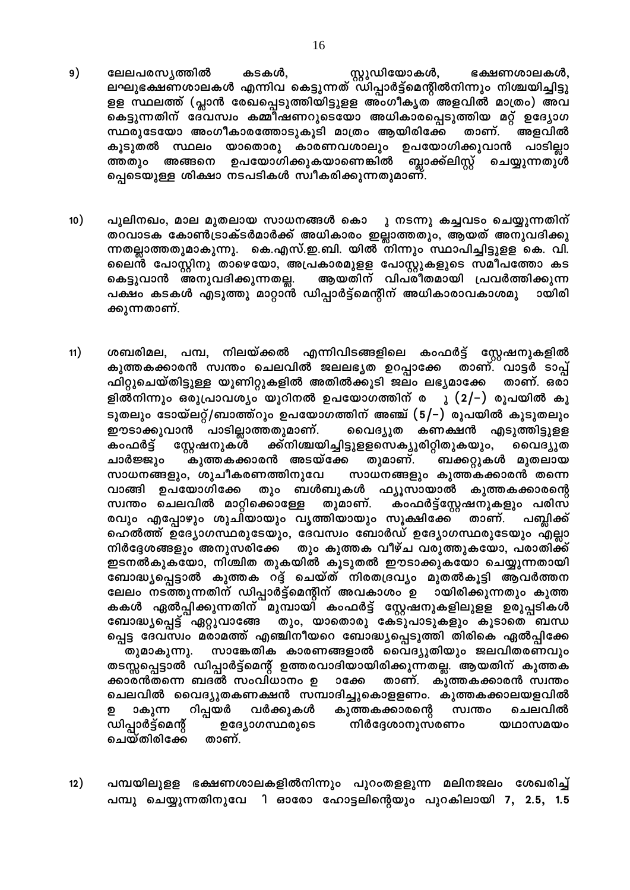- ലേലപരസ്യത്തിൽ കടകൾ, സ്റ്റുഡിയോകൾ, ഭക്ഷണശാലകൾ,<br>ലഘുഭക്ഷണശാലകൾ എന്നിവ കെട്ടുന്നത് ഡിപ്പാർട്ട്മെന്റിൽനിന്നും നിശ്ചയിച്ചിട്ടു 9) ളള സ്ഥലത്ത് (പ്ലാൻ രേഖപ്പെടുത്തിയിട്ടുളള അംഗീകൃത അളവിൽ മാത്രം) അവ കെട്ടുന്നതിന് ദേവസ്വം കമ്മിഷണറുടെയോ അധികാരപ്പെടുത്തിയ മറ്റ് ഉദ്യോഗ സ്ഥരുടേയോ അംഗീകാരത്തോടുകൂടി മാത്രം ആയിരിക്കേ താണ്. അളവിൽ കൂടുതൽ സ്ഥലം യാതൊരു കാരണവശാലും ഉപയോഗിക്കുവാൻ പാടില്ലാ ത്തതും അങ്ങനെ ഉപയോഗിക്കുകയാണെങ്കിൽ **ബ്ലാക്ക്ലിസ്റ്റ് ചെയ്യുന്നതുൾ** പ്പെടെയുള്ള ശിക്ഷാ നടപടികൾ സ്വീകരിക്കുന്നതുമാണ്.
- $10)$ പുലിനഖം, മാല മുതലായ സാധനങ്ങൾ കൊ ു നടന്നു കച്ചവടം ചെയ്യുന്നതിന് തറവാടക കോൺട്രാക്ടർമാർക്ക് അധികാരം ഇല്ലാത്തതും, ആയത് അനുവദിക്കു ന്നതല്ലാത്തതുമാകുന്നു. കെ.എസ്.ഇ.ബി. യിൽ നിന്നും സ്ഥാപിച്ചിട്ടുളള കെ. വി. ലൈൻ പോസ്റ്റിനു താഴെയോ, അപ്രകാരമുളള പോസ്റ്റുകളുടെ സമീപത്തോ കട കെട്ടുവാൻ അനുവദിക്കുന്നതല്ല. ആയതിന് വിപരീതമായി പ്രവർത്തിക്കുന്ന പക്ഷം കടകൾ എടുത്തു മാറ്റാൻ ഡിപ്പാർട്ട്മെന്റിന് അധികാരാവകാശമു ായിരി ക്കുന്നതാണ്.
- $11)$ ശബരിമല, പമ്പ, നിലയ്ക്കൽ എന്നിവിടങ്ങളിലെ കംഫർട്ട് സ്റ്റേഷനുകളിൽ കുത്തകക്കാരൻ സ്വന്തം ചെലവിൽ ജലലഭൃത ഉറപ്പാക്കേ താണ്. വാട്ടർ ടാപ്പ് ഫിറ്റുചെയ്തിട്ടുള്ള യൂണിറ്റുകളിൽ അതിൽക്കൂടി ജലം ലഭ്യമാക്കേ താണ്. ഒരാ ളിൽനിന്നും ഒരുപ്രാവശ്യം യൂറിനൽ ഉപയോഗത്തിന് ര ു (2/–) രൂപയിൽ കൂ ടുതലും ടോയ്ലറ്റ്/ബാത്ത്റൂം ഉപയോഗത്തിന് അഞ്ച് (5/–) രൂപയിൽ കൂടുതലും ഈടാക്കുവാൻ പാടില്ലാത്തതുമാണ്. വൈദ്യുത കണക്ഷൻ എടുത്തിട്ടുളള ക്ക്നിശ്ചയിച്ചിട്ടുളളസെക്യൂരിറ്റിതുകയും, കംഫർട് സ്റ്റേഷനുകൾ വൈദ്യുത കുത്തകക്കാരൻ അടയ്ക്കേ തുമാണ്. ചാർജ്ജും ബക്കറ്റുകൾ മുതലായ സാധനങ്ങളും, ശുചീകരണത്തിനുവേ സാധനങ്ങളും കുത്തകക്കാരൻ തന്നെ വാങ്ങി ഉപയോഗിക്കേ തും ബൾബുകൾ ഫ്യൂസായാൽ കുത്തകക്കാരന്റെ സ്വന്തം ചെലവിൽ മാറ്റിക്കൊള്ളേ തുമാണ്. കംഫർട്ട്സ്റ്റേഷനുകളും പരിസ രവും എപ്പോഴും ശുചിയായും വൃത്തിയായും സൂക്ഷിക്കേ താണ്. പബ്ലിക്ക് ഹെൽത്ത് ഉദ്യോഗസ്ഥരുടേയും, ദേവസ്വം ബോർഡ് ഉദ്യോഗസ്ഥരുടേയും എല്ലാ നിർദ്ദേശങ്ങളും അനുസരിക്കേ തും കുത്തക വീഴ്ച വരുത്തുകയോ, പരാതിക്ക് ഇടനൽകുകയോ, നിശ്ചിത തുകയിൽ കൂടുതൽ ഈടാക്കുകയോ ചെയ്യുന്നതായി ബോദ്ധ്യപ്പെട്ടാൽ കുത്തക റദ്ദ് ചെയ്ത് നിരതദ്രവ്യം മുതൽകൂട്ടി ആവർത്തന ലേലം നടത്തുന്നതിന് ഡിപ്പാർട്ട്മെന്റിന് അവകാശം ഉ ായിരിക്കുന്നതും കുത്ത കകൾ ഏൽപ്പിക്കുന്നതിന് മുമ്പായി കംഫർട്ട് സ്റ്റേഷനുകളിലുളള ഉരുപ്പടികൾ ബോദ്യുപ്പെട്ട് ഏറ്റുവാങ്ങേ തും, യാതൊരു കേടുപാടുകളും കൂടാതെ ബന്ധ പ്പെട്ട ദേവസ്വം മരാമത്ത് എഞ്ചിനീയറെ ബോദ്ധ്യപ്പെടുത്തി തിരികെ ഏൽപ്പിക്കേ സാങ്കേതിക കാരണങ്ങളാൽ വൈദ്യുതിയും ജലവിതരണവും തുമാകുന്നു. തടസ്സപ്പെട്ടാൽ ഡിപ്പാർട്ട്മെന്റ് ഉത്തരവാദിയായിരിക്കുന്നതല്ല. ആയതിന് കുത്തക ക്കാരൻതന്നെ ബദൽ സംവിധാനം ഉ താണ്. കുത്തകക്കാരൻ സ്വന്തം **ാ**ക്കേ ചെലവിൽ വൈദ്യുതകണക്ഷൻ സമ്പാദിച്ചുകൊളളണം. കുത്തകക്കാലയളവിൽ റിപ്പയർ വർക്കുകൾ ചെലവിൽ ാകുന്ന കുത്തകക്കാരന്റെ സ്വന്തം ഉ ഡിപ്പാർട്ട്മെന്റ് ഉദ്യോഗസ്ഥരുടെ നിർദ്ദേശാനുസരണം യഥാസമയം ചെയ്തിരിക്കേ താണ്.
- പമ്പയിലുളള ഭക്ഷണശാലകളിൽനിന്നും പുറംതളളുന്ന മലിനജലം ശേഖരിച്ച്  $12)$ പമ്പു ചെയ്യുന്നതിനുവേ ി ഓരോ ഹോട്ടലിന്റെയും പുറകിലായി 7, 2.5, 1.5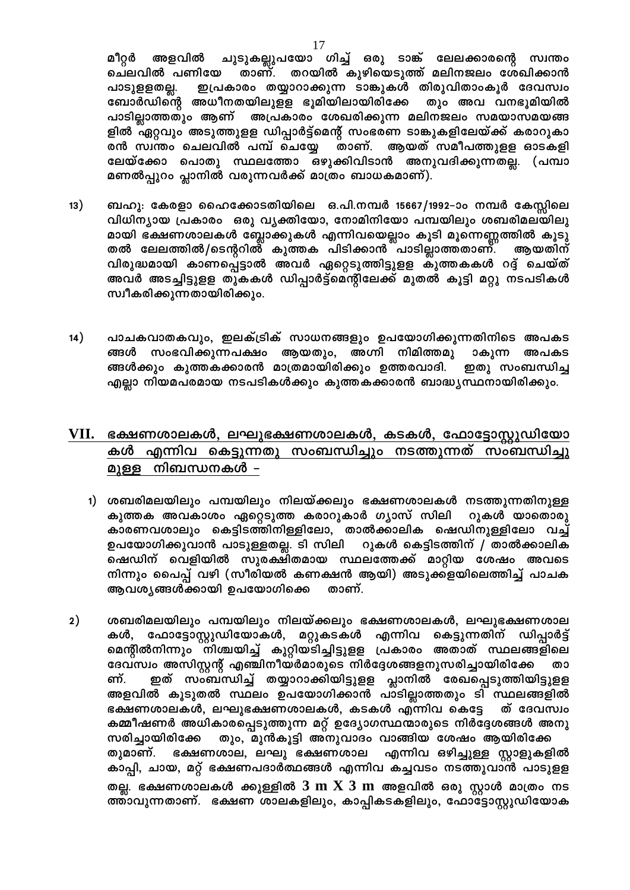ചുടുകല്ലുപയോ ഗിച്ച് ഒരു ടാങ്ക് ലേലക്കാരന്റെ സ്വന്തം മീറ്റർ അളവിൽ ചെലവിൽ പണിയേ താണ്. തറയിൽ കുഴിയെടുത്ത് മലിനജലം ശേഖിക്കാൻ ഇപ്രകാരം തയ്യാറാക്കുന്ന ടാങ്കുകൾ തിരുവിതാംകൂർ ദേവസ്വം പാടുളളതല്ല. തും അവ വനഭൂമിയിൽ ബോർഡിന്റെ അധീനതയിലുളള ഭൂമിയിലായിരിക്കേ പാടില്ലാത്തതും ആണ് അപ്രകാരം ശേഖരിക്കുന്ന മലിനജലം സമയാസമയങ്ങ ളിൽ ഏറ്റവും അടുത്തുളള ഡിപ്പാർട്ട്മെന്റ് സംഭരണ ടാങ്കുകളിലേയ്ക്ക് കരാറുകാ രൻ സ്ഥന്തം ചെലവിൽ പമ്പ് ചെയ്യേ രാണ്. ആയത് സമീപത്തുളള ഓടകളി ലേയ്ക്കോ പൊതു സ്ഥലത്തോ ഒഴുക്കിവിടാൻ അനുവദിക്കുന്നതല്ല. (പമ്പാ മണൽപ്പുറം പ്ലാനിൽ വരുന്നവർക്ക് മാത്രം ബാധകമാണ്).

- $13)$ ബഹു: കേരളാ ഹൈക്കോടതിയിലെ ഒ.പി.നമ്പർ 15667/1992–ാം നമ്പർ കേസ്സിലെ വിധിന്യായ പ്രകാരം ഒരു വൃക്തിയോ, നോമിനിയോ പമ്പയിലും ശബരിമലയിലു മായി ഭക്ഷണശാലകൾ ബ്ലോക്കുകൾ എന്നിവയെല്ലാം കൂടി മൂന്നെണ്ണത്തിൽ കൂടു തൽ ലേലത്തിൽ/ടെന്ററിൽ് കുത്തക പിടിക്കാൻ് പാടില്ലാത്തതാണ്. ആയതിന് വിരുദ്ധമായി കാണപ്പെട്ടാൽ അവർ ഏറ്റെടുത്തിട്ടുളള കുത്തകകൾ റദ്ദ് ചെയ്ത് അവർ അടച്ചിട്ടുളള തുകകൾ ഡിപ്പാർട്ട്മെന്റിലേക്ക് മുതൽ കൂട്ടി മറ്റു നടപടികൾ സ്വീകരിക്കുന്നതായിരിക്കും.
- പാചകവാതകവും, ഇലക്ട്രിക് സാധനങ്ങളും ഉപയോഗിക്കുന്നതിനിടെ അപകട 14) ങ്ങൾ സംഭവിക്കുന്നപക്ഷം ആയതും, അഗ്നി നിമിത്തമു ാകുന്ന അപകട ങ്ങൾക്കും കുത്തകക്കാരൻ മാത്രമായിരിക്കും ഉത്തരവാദി. ഇതു സംബന്ധിച്ച എല്ലാ നിയമപരമായ നടപടികൾക്കും കുത്തകക്കാരൻ ബാദ്ധ്യസ്ഥനായിരിക്കും.

### ഭക്ഷണശാലകൾ, ലഘുഭക്ഷണശാലകൾ, കടകൾ, ഫോട്ടോസ്റ്റുഡിയോ VII. കൾ എന്നിവ കെട്ടുന്നതു സംബന്ധിച്ചും നടത്തുന്നത് സംബന്ധിച്ചു മുള്ള നിബന്ധനകൾ –

- 1) ശബരിമലയിലും പമ്പയിലും നിലയ്ക്കലും ഭക്ഷണശാലകൾ നടത്തുന്നതിനുള്ള കുത്തക അവകാശം ഏറ്റെടുത്ത കരാറുകാർ ഗ്യാസ് സിലി റുകൾ യാതൊരു കാരണവശാലും കെട്ടിടത്തിനിള്ളിലോ, താൽക്കാലിക ഷെഡിനുള്ളിലോ വച്ച് ഉപയോഗിക്കുവാൻ പാടുള്ളതല്ല. ടി സിലി റുകൾ കെട്ടിടത്തിന് / താൽക്കാലിക ഷെഡിന് വെളിയിൽ സുരക്ഷിതമായ സ്ഥലത്തേക്ക് മാറ്റിയ ശേഷം അവടെ നിന്നും പൈപ്പ് വഴി (സീരിയൽ കണക്ഷൻ ആയി) അടുക്ക്ളയിലെത്തിച്ച് പാചക ആവശ്യങ്ങൾക്കായി ഉപയോഗിക്കെ താണ്.
- $2)$ ശബരിമലയിലും പമ്പയിലും നിലയ്ക്കലും ഭക്ഷണശാലകൾ, ലഘുഭക്ഷണശാല ഫോട്ടോസ്റ്റുഡിയോകൾ, മറ്റുകടകൾ എന്നിവ കെട്ടുന്നതിന് ഡിപ്പാർട്ട് കൾ. മെന്റിൽനിന്നും നിശ്ചയിച്ച് കുറ്റിയടിച്ചിട്ടുളള പ്രകാരം അതാത് സ്ഥലങ്ങളിലെ ദേവസ്വം അസിസ്റ്റന്റ് എഞ്ചിനീയർമാരുടെ നിർദ്ദേശങ്ങളനുസരിച്ചായിരിക്കേ താ ഇത് സംബന്ധിച്ച് തയ്യാറാക്കിയിട്ടുളള പ്ലാനിൽ രേഖപ്പെടുത്തിയിട്ടുളള ണ്. അളവിൽ കൂടുതൽ സ്ഥലം ഉപയോഗിക്കാൻ പാടില്ലാത്തതും ടി സ്ഥലങ്ങളിൽ ഭക്ഷണശാലകൾ, ലഘുഭക്ഷണശാലകൾ, കടകൾ എന്നിവ കെട്ടേ ത് ദേവസ്വം കമ്മീഷണർ അധികാരപ്പെടുത്തുന്ന മറ്റ് ഉദ്യോഗസ്ഥന്മാരുടെ നിർദ്ദേശങ്ങൾ അനു സരിച്ചായിരിക്കേ തും, മുൻകൂട്ടി അനുവാദം വാങ്ങിയ ശേഷം ആയിരിക്കേ ഭക്ഷണശാല, ലഘു ഭക്ഷണശാല തുമാണ്. എന്നിവ ഒഴിച്ചുള്ള സ്റ്റാളുകളിൽ കാപ്പി, ചായ, മറ്റ് ഭക്ഷണപദാർത്ഥങ്ങൾ എന്നിവ കച്ചവടം നടത്തുവാൻ പാടുളള തല്ല. ഭക്ഷണശാലകൾ ക്കുള്ളിൽ  $3 \text{ m X } 3 \text{ m}$  അളവിൽ ഒരു സ്റ്റാൾ മാത്രം നട ത്താവുന്നതാണ്. ഭക്ഷണ ശാലകളിലും, കാപ്പികടകളിലും, ഫോട്ടോസ്റ്റുഡിയോക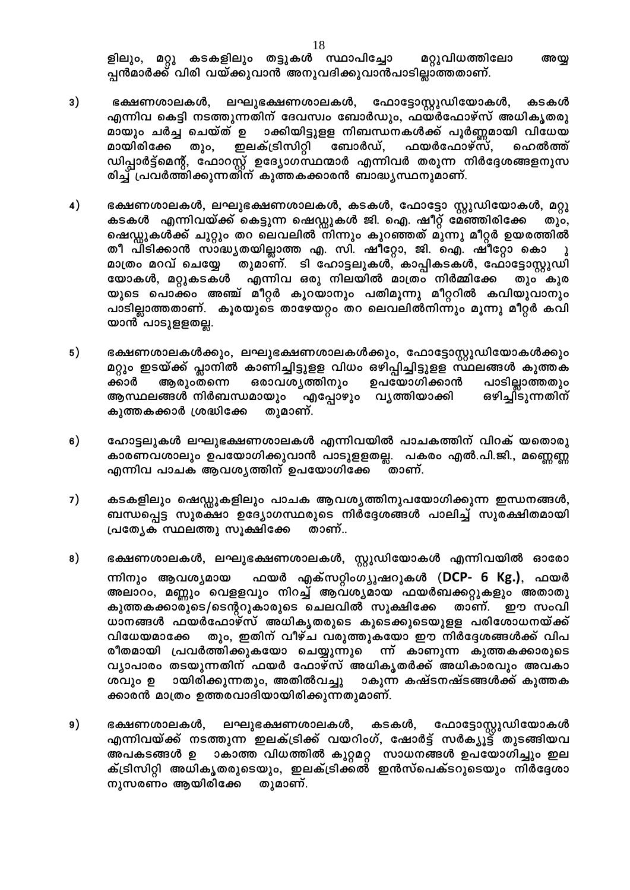ളിലും, മറ്റു കടകളിലും തട്ടുകൾ സ്ഥാപിച്ചോ മറ്റുവിധത്തിലോ അയ്യ പ്പൻമാർക്ക് വിരി വയ്ക്കുവാൻ അനുവദിക്കുവാൻപാടില്ലാത്തതാണ്.

- 3) ഭക്ഷണശാലകൾ, ലഘുഭക്ഷണശാലകൾ, ഫോട്ടോസ്റ്റുഡിയോകൾ, കടകൾ എന്നിവ കെട്ടി നടത്തുന്നതിന് ദേവസ്വം ബോർഡും, ഫയർഫോഴ്സ് അധികൃതരു മായും ചർച്ച ചെയ്ത് ഉ ാക്കിയിട്ടുളള നിബന്ധനകൾക്ക് പൂർണ്ണമായി വിധേയ മായിരിക്കേ ഇലക്ട്രിസിറ്റി ബോർഡ്, ഫയർഫോഴ്സ്, ഹെൽത്ത് തും, ഡിപ്പാർട്ട്മെന്റ്, ഫോറസ്റ്റ് ഉദ്യോഗസ്ഥന്മാർ എന്നിവർ തരുന്ന നിർദ്ദേശങ്ങളനുസ രിച്ച് പ്രവർത്തിക്കുന്നതിന് കുത്തകക്കാരൻ ബാദ്ധ്യസ്ഥനുമാണ്.
- $4)$ ഭക്ഷണശാലകൾ, ലഘുഭക്ഷണശാലകൾ, കടകൾ, ഫോട്ടോ സ്റ്റുഡിയോകൾ, മറ്റു കടകൾ എന്നിവയ്ക്ക് കെട്ടുന്ന ഷെഡ്ഡുകൾ ജി. ഐ. ഷീറ്റ് മേഞ്ഞിരിക്കേ തും, ഷെഡ്ഡുകൾക്ക് ചുറ്റും തറ ലെവലിൽ നിന്നും കുറഞ്ഞത് മൂന്നു മീറ്റർ ഉയരത്തിൽ തീ പിടിക്കാൻ സാദ്ധ്യതയില്ലാത്ത എ. സി. ഷീറ്റോ, ജി. ഐ. ഷീറ്റോ കൊ തുമാണ്. ടി ഹോട്ടലുകൾ, കാപ്പികടകൾ, ഫോട്ടോസ്റ്റുഡി മാത്രം മറവ് ചെയ്യേ യോകൾ, മറ്റുകടകൾ എന്നിവ ഒരു നിലയിൽ മാത്രം നിർമ്മിക്കേ തും കൂര യുടെ പൊക്കം അഞ്ച് മീറ്റർ കൂറയാനും പതിമൂന്നു മീറ്ററിൽ കവിയുവാനും പാടില്ലാത്തതാണ്. കൂരയുടെ താഴേയറ്റം തറ ലെവലിൽനിന്നും മൂന്നു മീറ്റർ കവി യാൻ പാടുളളതല്ല.
- 5) ഭക്ഷണശാലകൾക്കും, ലഘുഭക്ഷണശാലകൾക്കും, ഫോട്ടോസ്റ്റുഡിയോകൾക്കും മറ്റും ഇടയ്ക്ക് പ്ലാനിൽ കാണിച്ചിട്ടുളള വിധം ഒഴിപ്പിച്ചിട്ടുളള സ്ഥലങ്ങൾ കുത്തക ക്കാർ ആരുംതന്നെ ഒരാവശ്യത്തിനും ഉപയോഗിക്കാൻ പാടില്ലാത്തതും ഒഴിച്ചി്ടുന്നതിന് ആസ്ഥലങ്ങൾ നിർബന്ധമായും എപ്പോഴും വൃത്തിയാക്കി കുത്തകക്കാർ ശ്രദ്ധിക്കേ തുമാണ്.
- ഹോട്ടലുകൾ ലഘുഭക്ഷണശാലകൾ എന്നിവയിൽ പാചകത്തിന് വിറക് യതൊരു 6) കാരണവശാലും ഉപയോഗിക്കുവാൻ പാടുളളതല്ല. പകരം എൽ.പി.ജി., മണ്ണെണ്ണ എന്നിവ പാചക ആവശ്യത്തിന് ഉപയോഗിക്കേ താണ്.
- $7)$ കടകളിലും ഷെഡ്ഡുകളിലും പാചക ആവശ്യത്തിനുപയോഗിക്കുന്ന ഇന്ധനങ്ങൾ, ബന്ധപ്പെട്ട സുരക്ഷാ ഉദ്യോഗസ്ഥരുടെ നിർദ്ദേശങ്ങൾ പാലിച്ച് സുരക്ഷിതമായി പ്രത്യേക സ്ഥലത്തു സൂക്ഷിക്കേ താണ്..
- 8) ഭക്ഷണശാലകൾ, ലഘുഭക്ഷണശാലകൾ, സ്റ്റുഡിയോകൾ എന്നിവയിൽ ഓരോ ഫയർ എക്സറ്റിംഗ്യൂഷറുകൾ (DCP- 6 Kg.), ഫയർ ന്നിനും ആവശ്യമായ അലാറം, മണ്ണും വെളളവും നിറച്ച് ആവശ്യമായ ഫയർബക്കറ്റുകളും അതാതു കുത്തകക്കാരുടെ/ടെന്ററുകാരുടെ ചെലവിൽ സൂക്ഷിക്കേ താണ്. ഈ സംവി ധാനങ്ങൾ ഫയർഫോഴ്സ് അധികൃതരുടെ കൂടെക്കൂടെയുളള പരിശോധനയ്ക്ക് തും, ഇതിന് വീഴ്ച വരുത്തുകയോ ഈ നിർദ്ദേശങ്ങൾക്ക് വിപ വിധേയമാക്കേ രീതമായി പ്രവർത്തിക്കുകയോ ചെയ്യുന്നുെന്ന് കാണുന്ന കുത്തകക്കാരുടെ വ്യാപാരം തടയുന്നതിന് ഫയർ ഫോഴ്സ് അധികൃതർക്ക് അധികാരവും അവകാ ശവും ഉ ായിരിക്കുന്നതും, അതിൽവച്ചു ാകുന്ന കഷ്ടനഷ്ടങ്ങൾക്ക് കുത്തക ക്കാരൻ മാത്രം ഉത്തരവാദിയായിരിക്കുന്നതുമാണ്.
- $9)$ ഭക്ഷണശാലകൾ, ലഘുഭക്ഷണശാലകൾ, കടകൾ, ഫോട്ടോസ്റ്റുഡിയോകൾ എന്നിവയ്ക്ക് നടത്തുന്ന ഇലക്ട്രിക്ക് വയറിംഗ്, ഷോർട്ട് സർക്യൂട്ട് തുടങ്ങിയവ അപകടങ്ങൾ ഉ ാകാത്ത വിധത്തിൽ കുറ്റമറ്റ സാധനങ്ങൾ ഉപയോഗിച്ചും ഇല ക്ട്രിസിറ്റി അധികൃതരുടെയും, ഇലക്ട്രിക്കൽ ഇൻസ്പെക്ടറുടെയും നിർദ്ദേശാ നുസരണം ആയിരിക്കേ തുമാണ്.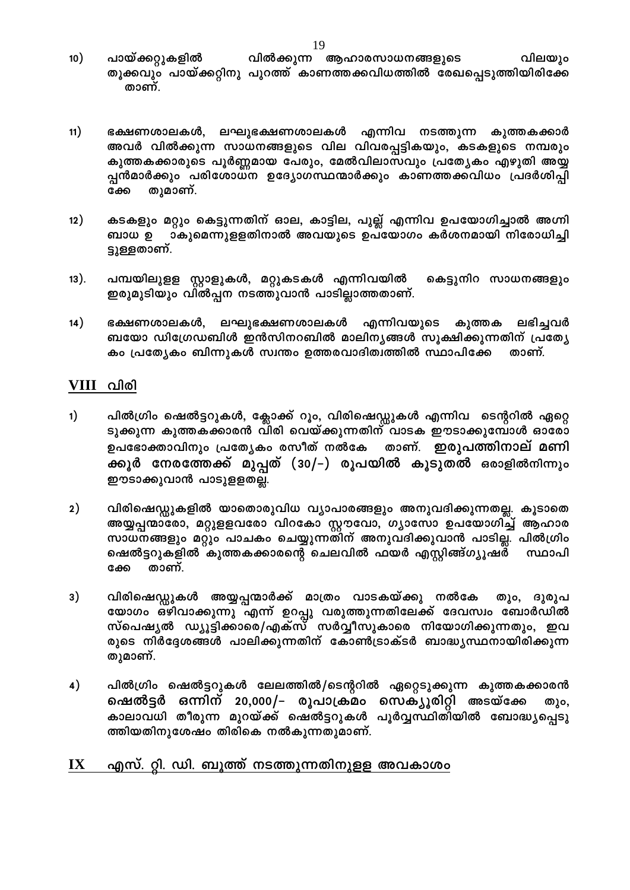- വിൽക്കുന്ന ആഹാരസാധനങ്ങളുടെ വിലയും  $10)$ പായ്ക്കറ്റുകളിൽ തൂക്കവും പായ്ക്കറ്റിനു പുറത്ത് കാണത്തക്കവിധത്തിൽ രേഖപ്പെടുത്തിയിരിക്കേ താണ്.
- $11)$ ഭക്ഷണശാലകൾ, ലഘുഭക്ഷണശാലകൾ എന്നിവ നടത്തുന്ന കുത്തകക്കാർ അവർ വിൽക്കുന്ന സാധനങ്ങളുടെ വില വിവരപ്പട്ടികയും, കടകളുടെ നമ്പരും കുത്തകക്കാരുടെ പൂർണ്ണമായ പേരും, മേൽവിലാസവും പ്രത്യേകം എഴുതി അയ്യ പ്പൻമാർക്കും പരിശോധന ഉദ്യോഗസ്ഥന്മാർക്കും കാണത്തക്കവിധം പ്രദർശിപ്പി തുമാണ്. ക്കേ
- കടകളും മറ്റും കെട്ടുന്നതിന് ഓല, കാട്ടില, പുല്ല് എന്നിവ ഉപയോഗിച്ചാൽ അഗ്നി  $12)$ ബാധ ഉ ാകുമെന്നുളളതിനാൽ അവയുടെ ഉപയോഗം കർശനമായി നിരോധിച്ചി ട്ടുള്ളതാണ്.
- $(13).$ പമ്പയിലുളള സ്റ്റാളുകൾ, മറ്റുകടകൾ എന്നിവയിൽ കെട്ടുനിറ സാധനങ്ങളും ഇരുമുടിയും വിൽപ്പന നടത്തുവാൻ പാടില്ലാത്തതാണ്.
- $14)$ ഭക്ഷണശാലകൾ, ലഘുഭക്ഷണശാലകൾ എന്നിവയുടെ കുത്തക ലഭിച്ചവർ ബയോ ഡിഗ്രേഡബിൾ ഇൻസിനറബിൽ മാലിനൃങ്ങൾ സൂക്ഷിക്കുന്നതിന് പ്രത്യേ കം പ്രത്യേകം ബിന്നുകൾ സ്വന്തം ഉത്തരവാദിത്വത്തിൽ സ്ഥാപിക്കേ താണ്.

### VIII വിരി

- $1)$ പിൽഗ്രിം ഷെൽട്ടറുകൾ, ക്ലോക്ക് റൂം, വിരിഷെഡ്ഡുകൾ എന്നിവ ടെന്ററിൽ ഏറ്റെ ടുക്കുന്ന കുത്തകക്കാരൻ വിരി വെയ്ക്കുന്നതിന് വാടക ഈടാക്കുമ്പോൾ ഓരോ ഉപഭോക്താവിനും പ്രത്യേകം രസീത് നൽകേ താണ്. ഇരുപത്തിനാല് മണി ക്കൂർ നേരത്തേക്ക് മുപ്പത് (30/–) രൂപയിൽ കൂടുതൽ ഒരാളിൽനിന്നും ഈടാക്കുവാൻ പാടുളളതല്ല.
- $2)$ വിരിഷെഡ്ഡുകളിൽ യാതൊരുവിധ വ്യാപാരങ്ങളും അനുവദിക്കുന്നതല്ല. കൂടാതെ അയ്യപ്പന്മാരോ, മറ്റുളളവരോ വിറകോ സ്റ്റൗവോ, ഗ്യാസോ ഉപയോഗിച്ച് ആഹാര സാധനങ്ങളും മറ്റും പാചകം ചെയ്യുന്നതിന് അനുവദിക്കുവാൻ പാടില്ല. പിൽഗ്രിം ഷെൽട്ടറുകളിൽ കുത്തകക്കാരന്റെ ചെലവിൽ ഫയർ എസ്റ്റിങ്ങ്ഗ്യൂഷര് സ്ഥാപി താണ്. ക്കേ
- $3)$ വിരിഷെഡ്ഡുകൾ അയ്യപ്പന്മാർക്ക് മാത്രം വാടകയ്ക്കു നൽകേ തും, ദുരുപ യോഗം ഒഴിവാക്കുന്നു എന്ന് ഉറപ്പു വരുത്തുന്നതിലേക്ക് ദേവസ്വം ബോർഡിൽ സ്പെഷ്യൽ ഡ്യൂട്ടിക്കാരെ/എക്സ് സർവ്വീസുകാരെ നിയോഗിക്കുന്നതും, ഇവ രുടെ നിർദ്ദേശങ്ങൾ പാലിക്കുന്നതിന് കോൺട്രാക്ടർ ബാദ്ധ്യസ്ഥനായിരിക്കുന്ന തുമാണ്.
- പിൽഗ്രിം ഷെൽട്ടറുകൾ ലേലത്തിൽ/ടെന്ററിൽ ഏറ്റെടുക്കുന്ന കുത്തകക്കാരൻ 4) ഷെൽട്ടർ ഒന്നിന് 20,000/– രൂപാക്രമം സെക്യൂരിറ്റി അടയ്ക്കേ തും, കാലാവധി തീരുന്ന മുറയ്ക്ക് ഷെ്ൽട്ടറുകൾ പൂർവ്വസ്ഥിതിയിൽ ബോദ്ധ്യപ്പെടു ത്തിയതിനുശേഷം തിരികെ നൽകുന്നതുമാണ്.

#### $\mathbf{I} \mathbf{X}$ <u>എസ്. റ്റി. ഡി. ബൂത്ത് നടത്തുന്നതിനുളള അവകാശം</u>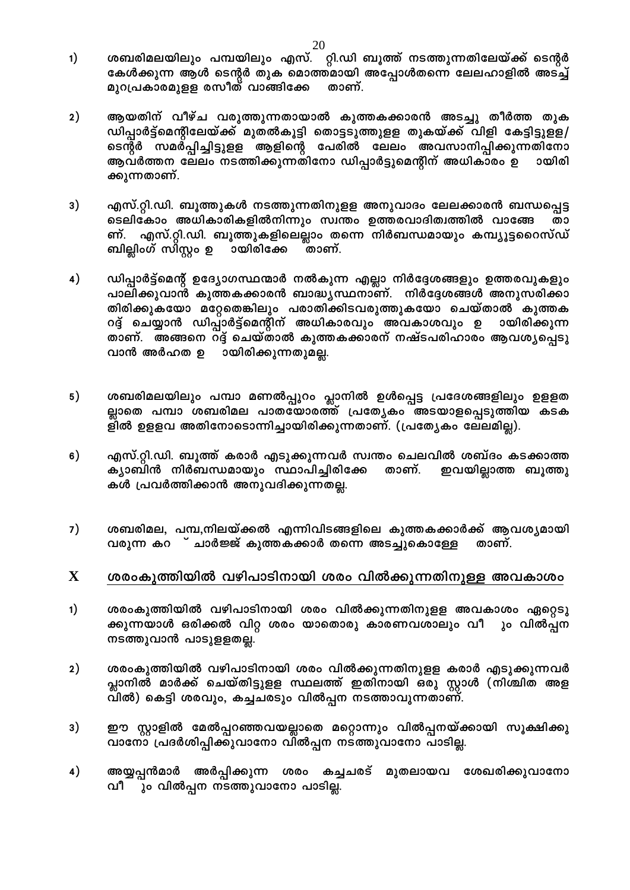- ശബരിമലയിലും പമ്പയിലും എസ്. റ്റി.ഡി ബൂത്ത് നടത്തുന്നതിലേയ്ക്ക് ടെന്റർ  $1)$ കേൾക്കുന്ന ആൾ ടെന്റർ തുക മൊത്തമായി അപ്പോൾതന്നെ ലേലഹാളിൽ അടച്ച് മുറപ്രകാരമുളള രസീത് വാങ്ങിക്കേ താണ്.
- $2)$ ആയതിന് വീഴ്ച വരുത്തുന്നതായാൽ കുത്തകക്കാരൻ അടച്ചു തീർത്ത തുക ഡിപ്പാർട്ട്മെന്റിലേയ്ക്ക് മുതൽകൂട്ടി തൊട്ടടുത്തുളള തുകയ്ക്ക് വിളി കേട്ടിട്ടുളള/ ടെന്റർ സമര്പ്പിച്ചിട്ടുളള ആളിന്റെ പേരിൽ ലേലം അവസാനിപ്പിക്കുന്നതിനോ ആവർത്തന ലേലം നടത്തിക്കുന്നതിനോ ഡിപ്പാർട്ടുമെന്റിന് അധികാരം ഉ ായിരി ക്കുന്നതാണ്.
- 3) എസ്.റ്റി.ഡി. ബൂത്തുകൾ നടത്തുന്നതിനുളള അനുവാദം ലേലക്കാരൻ ബന്ധപ്പെട്ട ടെലികോം അധികാരികളിൽനിന്നും സ്വന്തം ഉത്തരവാദിത്വത്തിൽ വാങ്ങേ താ എസ്.റ്റി.ഡി. ബൂത്തുകളിലെല്ലാം തന്നെ നിർബന്ധമായും കമ്പ്യൂട്ടറൈസ്ഡ് ണ്. ബില്ലിംഗ് സിസ്റ്റം ഉ ായിരിക്കേ താണ്.
- $4)$ ഡിപ്പാർട്ട്മെന്റ് ഉദ്യോഗസ്ഥന്മാർ നൽകുന്ന എല്ലാ നിർദ്ദേശങ്ങളും ഉത്തരവുകളും പാലിക്കുവാൻ കുത്തകക്കാരൻ ബാദ്ധ്യസ്ഥനാണ്. നിർദ്ദേശങ്ങൾ അനുസരിക്കാ തിരിക്കുകയോ മറ്റേതെങ്കിലും പരാതിക്കിടവരുത്തുകയോ ചെയ്താൽ കുത്തക റദ്ദ് ചെയ്യാൻ ഡിപ്പാർട്ട്മെന്റിന് അധികാരവും അവകാശവും ഉ ായിരിക്കുന്ന താണ്. അങ്ങനെ റദ്ദ് ചെയ്താൽ കുത്തകക്കാരന് നഷ്ടപരിഹാരം ആവശ്യപ്പെടു വാൻ അർഹത ഉ ായിരിക്കുന്നതുമല്ല.
- $5)$ ശബരിമലയിലും പമ്പാ മണൽപ്പുറം പ്ലാനിൽ ഉൾപ്പെട്ട പ്രദേശങ്ങളിലും ഉളളത ല്ലാതെ പമ്പാ ശബരിമല പാതയോരത്ത് പ്രത്യേകം അടയാളപ്പെടുത്തിയ കടക ളിൽ ഉളളവ അതിനോടൊന്നിച്ചായിരിക്കുന്നതാണ്. (പ്രത്യേകം ലേലമില്ല).
- 6) എസ്.റ്റി.ഡി. ബൂത്ത് കരാർ എടുക്കുന്നവർ സ്വന്തം ചെലവിൽ ശബ്ദം കടക്കാത്ത ക്യാബിൻ നിർബന്ധമായും സ്ഥാപിച്ചിരിക്കേ താണ്. ഇവയില്ലാത്ത ബൂത്തു കൾ പ്രവർത്തിക്കാൻ അനുവദിക്കുന്നതല്ല.
- ശബരിമല, പമ്പ,നിലയ്ക്കൽ എന്നിവിടങ്ങളിലെ കുത്തകക്കാർക്ക് ആവശ്യമായി  $7)$ വരുന്ന കറ ് ചാർജ്ജ് കുത്തകക്കാർ തന്നെ അടച്ചുകൊള്ളേ താണ്.

#### $\mathbf X$ ശരംകുത്തിയിൽ വഴിപാടിനായി ശരം വിൽക്കുന്നതിനുള്ള അവകാശം

- ശരംകുത്തിയിൽ വഴിപാടിനായി ശരം വിൽക്കുന്നതിനുളള അവകാശം ഏറ്റെടു  $1)$ ക്കുന്നയാൾ ഒരിക്കൽ വിറ്റ ശരം യാതൊരു കാരണവശാലും വീ ും വിൽപ്പന നടത്തുവാൻ പാടുളളതല്ല.
- ശരംകുത്തിയിൽ വഴിപാടിനായി ശരം വിൽക്കുന്നതിനുളള കരാർ എടുക്കുന്നവർ  $2)$ പ്ലാനിൽ മാർക്ക് ചെയ്തിട്ടുളള സ്ഥലത്ത് ഇതിനായി ഒരു സ്റ്റാൾ (നിശ്ചിത അള വിൽ) കെട്ടി ശരവും, കച്ചചരടും വിൽപ്പന നടത്താവുന്നതാണ്.
- ഈ സ്റ്റാളിൽ മേൽപ്പറഞ്ഞവയല്ലാതെ മറ്റൊന്നും വിൽപ്പനയ്ക്കായി സൂക്ഷിക്കു 3) വാനോ പ്രദർശിപ്പിക്കുവാനോ വിൽപ്പന നടത്തുവാനോ പാടില്ല.
- അയ്യപ്പൻമാർ അർപ്പിക്കുന്ന ശരം കച്ചചരട് മുതലായവ ശേഖരിക്കുവാനോ  $4)$ വീ ും വിൽപ്പന നടത്തുവാനോ പാടില്ല.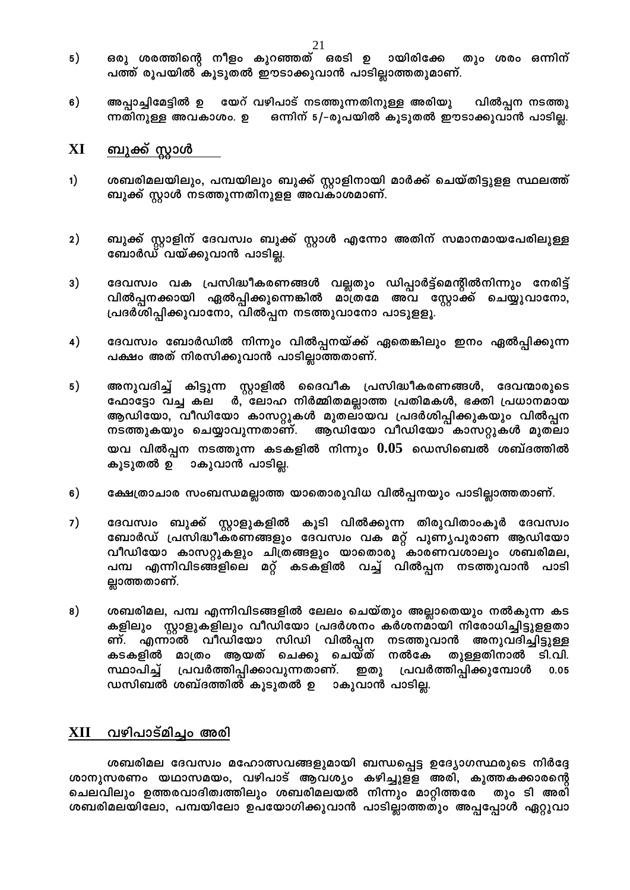- ഒരു ശരത്തിന്റെ നീളം കുറഞ്ഞത് ഒരടി ഉ ായിരിക്കേ തും ശരം ഒന്നിന്  $5)$ പത്ത് രൂപയിൽ കൂടുതൽ ഈടാക്കുവാൻ പാടില്ലാത്തതുമാണ്.
- അപ്പാച്ചിമേട്ടിൽ ഉ യേറ് വഴിപാട് നടത്തുന്നതിനുള്ള അരിയു 6) വിൽപ്പന നടത്തു ന്നതിനുള്ള അവകാശം. ഉ ഭെന്നിന് 5/-രൂപയിൽ കൂടുതൽ ഈടാക്കുവാൻ പാടില്ല.

#### <u>ബുക്ക് സ്റ്റാൾ</u> XI

- ശബരിമലയിലും, പമ്പയിലും ബുക്ക് സ്റ്റാളിനായി മാർക്ക് ചെയ്തിട്ടുളള സ്ഥലത്ത്  $1)$ ബുക്ക് സ്റ്റാൾ നടത്തുന്നതിനുളള അവകാശമാണ്.
- $2)$ ബുക്ക് സ്റ്റാളിന് ദേവസ്വം ബുക്ക് സ്റ്റാൾ എന്നോ അതിന് സമാനമായപേരിലുള്ള ബോർഡ് വയ്ക്കുവാൻ പാടില്ല.
- $3)$ ദേവസ്വം വക പ്രസിദ്ധീകരണങ്ങൾ വല്ലതും ഡിപ്പാർട്ട്മെന്റിൽനിന്നും നേരിട്ട് വിൽപ്പനക്കായി ഏൽപ്പിക്കുന്നെങ്കിൽ മാ്ത്രമേ അവ സ്റ്റോക്ക് ചെയ്യുവാനോ, പ്രദർശിപ്പിക്കുവാനോ, വിൽപ്പന നടത്തുവാനോ പാടുളളൂ.
- $4)$ ദേവസ്വം ബോർഡിൽ നിന്നും വിൽപ്പനയ്ക്ക് ഏതെങ്കിലും ഇനം ഏൽപ്പിക്കുന്ന പക്ഷം അത് നിരസിക്കുവാൻ പാടില്ലാത്തതാണ്.
- $5)$ അനുവദിച്ച് കിട്ടുന്ന സ്റ്റാളിൽ ദൈവീക പ്രസിദ്ധീകരണങ്ങൾ, ദേവന്മാരുടെ ഫോട്ടോ വച്ച കല ർ, ലോഹ നിർമ്മിതമല്ലാത്ത പ്രതിമകൾ, ഭക്തി പ്രധാനമായ ആഡിയോ, വീഡിയോ കാസറ്റുകൾ മുതലായവ പ്രദർശിപ്പിക്കുകയും വിൽപ്പന നടത്തുകയും ചെയ്യാവുന്നതാണ്. ആഡിയോ വീഡിയോ കാസറ്റുകൾ മുതലാ യവ വിൽപ്പന നടത്തുന്ന കടകളിൽ നിന്നും  $0.05\,$  ഡെസിബെൽ ശബ്ദത്തിൽ കൂടുതൽ ഉ ാകുവാൻ പാടില്ല.
- $6)$ ക്ഷേത്രാചാര സംബന്ധമല്ലാത്ത യാതൊരുവിധ വിൽപ്പനയും പാടില്ലാത്തതാണ്.
- 7) ദേവസ്വം ബുക്ക് സ്റ്റാളുകളിൽ കൂടി വിൽക്കുന്ന തിരുവിതാംകൂർ ദേവസ്വം ബോർഡ് പ്രസിദ്ധീകരണങ്ങളും ദേവസ്വം വക മറ്റ് പുണൃപുരാണ ആഡിയോ വീഡിയോ കാസറ്റുകളും ചിത്രങ്ങളും യാതൊരു കാരണവശാലും ശബരിമല, പമ്പ എന്നിവിടങ്ങളിലെ മറ്റ് കടകളിൽ വച്ച് വിൽപ്പന നടത്തുവാൻ പാടി ല്ലാത്തതാണ്.
- $8)$ ശബരിമല, പമ്പ എന്നിവിടങ്ങളിൽ ലേലം ചെയ്തും അല്ലാതെയും നൽകുന്ന കട കളിലും സ്റ്റാളുകളിലും വീഡിയോ പ്രദർശനം കർശനമായി നിരോധിച്ചിട്ടുളളതാ ണ്. എന്നാൽ വീഡിയോ സിഡി വിൽപ്പന നടത്തുവാൻ അനുവദിച്ചിട്ടുള്ള കടകളിൽ മാത്രം ആയത് ചെക്കു ചെയ്ത് നൽകേ തുള്ളതിനാൽ ടി.വി. സ്ഥാപിച്ച് പ്രവർത്തിപ്പിക്കാവുന്നതാണ്. പ്രവർത്തിപ്പിക്കുമ്പോൾ  $0.05$ ഇതു ഡസിബൽ ശബ്ദത്തിൽ കൂടുതൽ ഉ ാകുവാൻ പാടില്ല.

# XII വഴിപാട്മിച്ചം അരി

ശബരിമല ദേവസ്വം മഹോത്സവങ്ങളുമായി ബന്ധപ്പെട്ട ഉദ്യോഗസ്ഥരുടെ നിർദ്ദേ ശാനുസരണം യഥാസമയം, വഴിപാട് ആവശ്യം കഴിച്ചുളള അരി, കുത്തകക്കാരന്റെ ചെലവിലും ഉത്തരവാദിത്വത്തിലും ശബരിമലയൽ നിന്നും മാറ്റിത്തരേ തും ടി അരി ശബരിമലയിലോ, പമ്പയിലോ ഉപയോഗിക്കുവാൻ പാടില്ലാത്തതും അപ്പപ്പോൾ ഏറ്റുവാ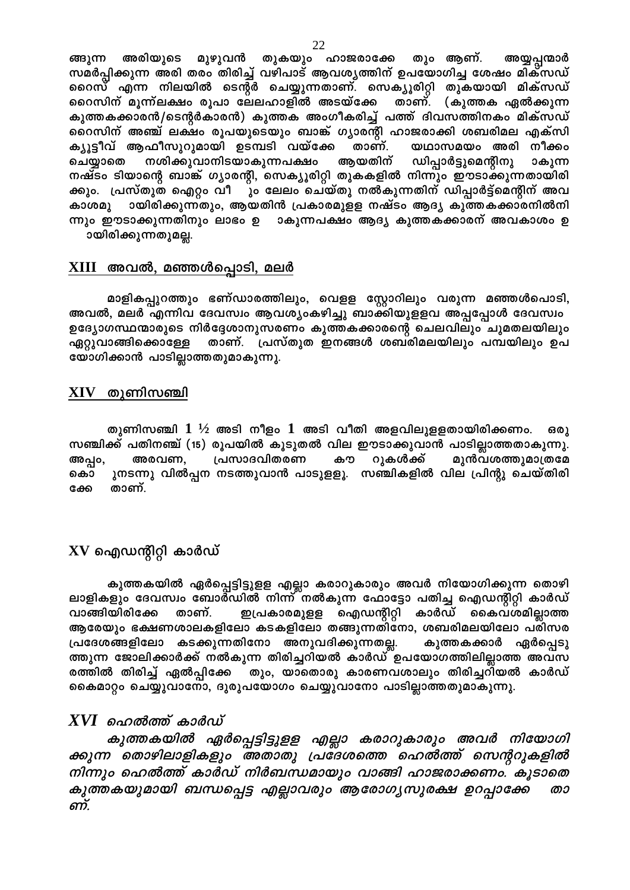ങ്ങുന്ന അരിയുടെ മുഴുവൻ തുകയും ഹാജരാക്കേ തും ആണ്. അയ്യപ്പന്മാർ സമർപ്പിക്കുന്ന അരി തരം തിരിച്ച് വഴിപാട് ആവശ്യത്തിന് ഉപയോഗിച്ച ശേഷം മിക്സഡ് റൈസ് എന്ന നിലയിൽ ടെന്റർ ചെയ്യുന്നതാണ്. സെക്യൂരിറ്റി തുകയായി മിക്സഡ് റൈസിന് മൂന്ന്ലക്ഷം രൂപാ ലേലഹാളിൽ അടയ്ക്കേ താണ്. (കുത്തക ഏൽക്കുന്ന കുത്തകക്കാരൻ/ടെന്റർകാരൻ) കുത്തക അംഗീകരിച്ച് പത്ത് ദിവസത്തിനകം മിക്സഡ് റൈസിന് അഞ്ച് ലക്ഷം രൂപയുടെയും ബാങ്ക് ഗ്യാരന്റി ഹാജരാക്കി ശബരിമല എക്സി ക്യൂട്ടീവ് ആഫീസുറുമായി ഉടമ്പടി വയ്ക്കേ താണ്. യഥാസമയം അരി നീക്കം നശിക്കുവാനിടയാകുന്നപക്ഷം ആയതിന് ഡിപ്പാർട്ടുമെന്റിനു ചെയ്യാതെ ാകുന്ന നഷ്ടം ടിയാന്റെ ബാങ്ക് ഗ്യാരന്റി, സെക്യൂരിറ്റി തുകകളിൽ നിന്നും ഈടാക്കുന്നതായിരി ക്കും. പ്രസ്തുത ഐറ്റം വീ ും ലേലം ചെയ്തു നൽകുന്നതിന് ഡിപ്പാർട്ട്മെന്റിന് അവ കാശമു ായിരിക്കുന്നതും, ആയതിൻ പ്രകാരമുളള നഷ്ടം ആദ്യ കുത്തകക്കാരനിൽനി ന്നും ഈടാക്കുന്നതിനും ലാഭം ഉ ാകുന്നപക്ഷം ആദ്യ കുത്തകക്കാരന് അവകാശം ഉ ായിരിക്കുന്നതുമല്ല.

### <u>XIII അവൽ, മഞ്ഞൾപ്പൊടി, മലർ</u>

മാളികപ്പുറത്തും ഭണ്ഡാരത്തിലും, വെളള സ്റ്റോറിലും വരുന്ന മഞ്ഞൾപൊടി, അവൽ, മലർ എന്നിവ ദേവസ്വം ആവശ്യംകഴിച്ചു ബാക്കിയുളളവ അപ്പപ്പോൾ ദേവസ്വം ഉദ്യോഗസ്ഥന്മാരുടെ നിർദ്ദേശാനുസരണം കുത്തകക്കാരന്റെ ചെലവിലും ചുമതലയിലും താണ്. പ്രസ്തുത ഇനങ്ങൾ ശബരിമലയിലും പമ്പയിലും ഉപ ഏറ്റുവാങ്ങിക്കൊള്ളേ യോഗിക്കാൻ പാടില്ലാത്തതുമാകുന്നു.

### $XIV$  തുണിസഞ്ചി

തുണിസഞ്ചി  $1\;\mathstrut^{1\!\!}/_{\!2}$  അടി നീളം  $1$  അടി വീതി അളവിലുളളതായിരിക്കണം. ഒരു സഞ്ചിക്ക് പതിനഞ്ച് (15) രൂപയിൽ കൂടുതൽ വില ഈടാക്കുവാൻ പാടില്ലാത്തതാകുന്നു. അപ്പം, അരവണ, പ്രസാദവിതരണ കൗ റുകൾക്ക് മുൻവശത്തുമാത്രമേ ുനടന്നു വിൽപ്പന നടത്തുവാൻ പാടുളളൂ. സഞ്ചികളിൽ വില പ്രിന്റു ചെയ്തിരി കൊ ക്കേ താണ്.

## $\bf{X} \bf{V}$  ഐഡന്റിറ്റി കാർഡ്

കുത്തകയിൽ ഏർപ്പെട്ടിട്ടുളള എല്ലാ കരാറുകാരും അവർ നിയോഗിക്കുന്ന തൊഴി ലാളികളും ദേവസ്വം ബോർഡിൽ നിന്ന് നൽകുന്ന ഫോട്ടോ പതിച്ച ഐഡന്റിറ്റി കാർഡ് വാങ്ങിയിരിക്കേ ഇപ്രകാരമുളള ഐഡന്റിറ്റി കാർഡ് കൈവശമില്ലാത്ത താണ്. ആരേയും ഭക്ഷണശാലകളിലോ കടകളിലോ തങ്ങുന്നതിനോ, ശബരിമലയിലോ പരിസര പ്രദേശങ്ങളിലോ കടക്കുന്നതിനോ അനുവദിക്കുന്നതല്ല. കുത്തകക്കാർ ഏർപ്പെടു ത്തുന്ന ജോലിക്കാർക്ക് നൽകുന്ന തിരിച്ചറിയൽ കാർഡ് ഉപയോഗത്തിലില്ലാത്ത അവസ രത്തിൽ തിരിച്ച് ഏൽപ്പിക്കേ തും, യാതൊരു കാരണവശാലും തിരിച്ചറിയൽ കാർഡ് കൈമാറ്റം ചെയ്യുവാനോ, ദുരുപയോഗം ചെയ്യുവാനോ പാടില്ലാത്തതുമാകുന്നു.

## $XVI$  ഹെൽത്ത് കാർഡ്

കുത്തകയിൽ ഏർപ്പെട്ടിട്ടുളള എല്ലാ കരാറുകാരും അവർ നിയോഗി ക്കുന്ന തൊഴിലാളികളും അതാതു പ്രദേശത്തെ ഹെൽത്ത് സെന്ററുകളിൽ നിന്നും ഹെൽത്ത് കാർഡ് നിർബന്ധമായും വാങ്ങി ഹാജരാക്കണം. കൂടാതെ കുത്തകയുമായി ബന്ധപ്പെട്ട എല്ലാവരും ആരോഗൃസുരക്ഷ ഉറപ്പാക്കേ താ ണ്.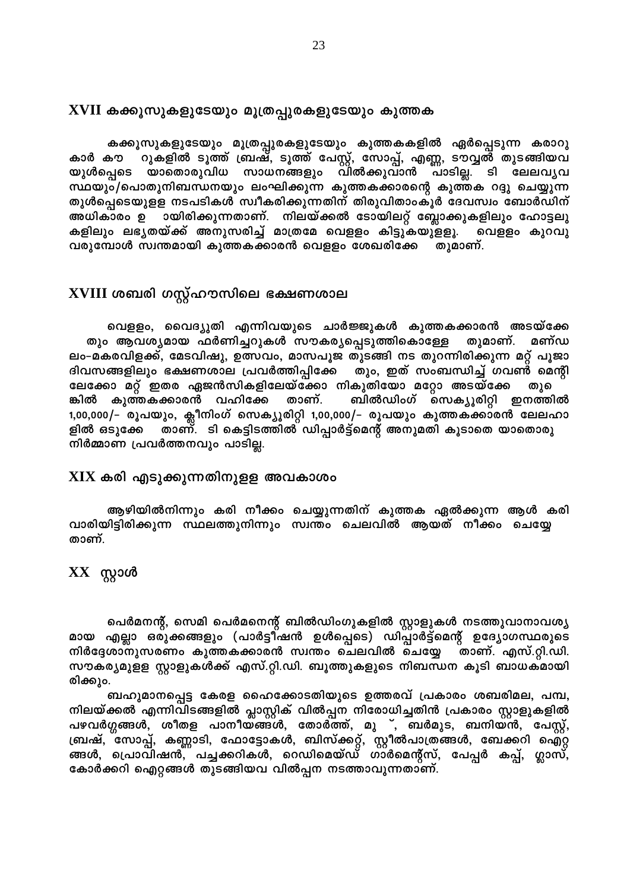### $\, {\rm XVII} \,$  കക്കൂസുകളുടേയും മൂത്രപ്പുരകളുടേയും കുത്തക

കക്കൂസുകളുടേയും മൂത്രപ്പുരകളുടേയും കുത്തകകളിൽ ഏർപ്പെടുന്ന കരാറു റുകളിൽ ടൂത്ത് ബ്രഷ്, ടൂത്ത് പേസ്റ്റ്, സോപ്പ്, എണ്ണ, ടൗവ്വൽ തുടങ്ങിയവ കാർ കൗ യുൾപ്പെടെ യാതൊരുവിധ സാധനങ്ങളും വിൽക്കുവാൻ പാടില്ല. ടി ലേലവൃവ സ്ഥയും/പൊതുനിബന്ധനയും ലംഘിക്കുന്ന കുത്തകക്കാരന്റെ കുത്തക റദ്ദു ചെയ്യുന്ന തുൾപ്പെടെയുളള നടപടികൾ സ്വീകരിക്കുന്നതിന് തിരുവിതാംകൂർ ദേവസ്വം ബോർഡിന് ായിരിക്കുന്നതാണ്. നിലയ്ക്കൽ ടോയിലറ്റ് ബ്ലോക്കുകളിലും ഹോട്ടലു അധികാരം ഉ കളിലും ലഭൃതയ്ക്ക് അനുസരിച്ച് മാത്രമേ വെളളം കിട്ടുകയുളളൂ. വെളളം കുറവു വരുമ്പോൾ സ്വന്തമായി കുത്തകക്കാരൻ വെളളം ശേഖരിക്കേ തുമാണ്.

## XVIII ശബരി ഗസ്റ്റ്ഹൗസിലെ ഭക്ഷണശാല

വെളളം, വൈദ്യുതി എന്നിവയുടെ ചാർജ്ജുകൾ കുത്തകക്കാരൻ അടയ്ക്കേ തും ആവശ്യമായ ഫർണിച്ചറുകൾ സൗകര്യപ്പെടുത്തികൊള്ളേ തുമാണ്. മണ്ഡ ലം-മകരവിളക്ക്, മേടവിഷു, ഉത്സവം, മാസപൂജ തുടങ്ങി നട തുറന്നിരിക്കുന്ന മറ്റ് പൂജാ ദിവസങ്ങളിലും ഭക്ഷണശാല പ്രവർത്തിപ്പിക്കേ തും, ഇത് സംബന്ധിച്ച് ഗവൺ മെന്റി ലേക്കോ മറ്റ് ഇതര ഏജൻസികളിലേയ്ക്കോ നികുതിയോ മറ്റോ അടയ്ക്കേ തുഭ കുത്തകക്കാരൻ വഹിക്കേ താണ്. ബിൽഡിംഗ് സെക്യൂരിറ്റി ഇനത്തിൽ ങ്കിൽ 1,00,000/– രൂപയും, ക്ലീനിംഗ് സെക്യൂരിറ്റി 1,00,000/– രൂപയും കുത്തകക്കാരൻ ലേലഹാ താണ്. ടി കെട്ടിടത്തിൽ ഡിപ്പാർട്ട്മെന്റ് അനുമതി കൂടാതെ യാതൊരു ളിൽ ഒടുക്കേ നിർമ്മാണ പ്രവർത്തനവും പാടില്ല.

### ${\bf XIX}$  കരി എടുക്കുന്നതിനുളള അവകാശം

ആഴിയിൽനിന്നും കരി നീക്കം ചെയ്യുന്നതിന് കുത്തക ഏൽക്കുന്ന ആൾ കരി വാരിയിട്ടിരിക്കുന്ന സ്ഥലത്തുനിന്നും സ്വന്തം ചെലവിൽ ആയത് നീക്കം ചെയ്യേ താണ്.

# $XX$  സ്റ്റാൾ

പെർമനന്റ്, സെമി പെർമനെന്റ് ബിൽഡിംഗുകളിൽ സ്റ്റാളുകൾ നടത്തുവാനാവശ്യ മായ എല്ലാ ഒരുക്കങ്ങളും (പാർട്ടീഷൻ ഉൾപ്പെടെ) ഡിപ്പാർട്ട്മെന്റ് ഉദ്യോഗസ്ഥരുടെ നിർദ്ദേശാനുസരണം കുത്തകക്കാരൻ സ്വന്തം ചെലവിൽ ചെയ്യേ താണ്. എസ്.റ്റി.ഡി. സൗകര്യമുളള സ്റ്റാളുകൾക്ക് എസ്.റ്റി.ഡി. ബൂത്തുകളുടെ നിബന്ധന കൂടി ബാധകമായി രിക്കും.

ബഹുമാനപ്പെട്ട കേരള ഹൈക്കോടതിയുടെ ഉത്തരവ് പ്രകാരം ശബരിമല, പമ്പ, നിലയ്ക്കൽ എന്നിവിടങ്ങളിൽ പ്ലാസ്റ്റിക് വിൽപ്പന നിരോധിച്ചതിൻ പ്രകാരം സ്റ്റാളുകളിൽ പഴവർഗ്ഗങ്ങൾ, ശീതള പാനീയ്ങ്ങൾ, തോർത്ത്, മു ്, ബർമുട, ബനിയൻ, പേസ്റ്റ്,<br>ബ്രഷ്, സോപ്പ്, കണ്ണാടി, ഫോട്ടോകൾ, ബിസ്ക്കറ്റ്, സ്റ്റീൽപാത്രങ്ങൾ, ബേക്കറി ഐറ്റ ങ്ങൾ, പ്രൊവിഷൻ, പച്ചക്കറികൾ, റെഡിമെയ്ഡ് ഗാർമെന്റ്സ്, പേപ്പർ കപ്പ്, ഗ്ലാസ്, കോർക്കറി ഐറ്റങ്ങൾ തുടങ്ങിയവ വിൽപ്പന നടത്താവുന്നതാണ്.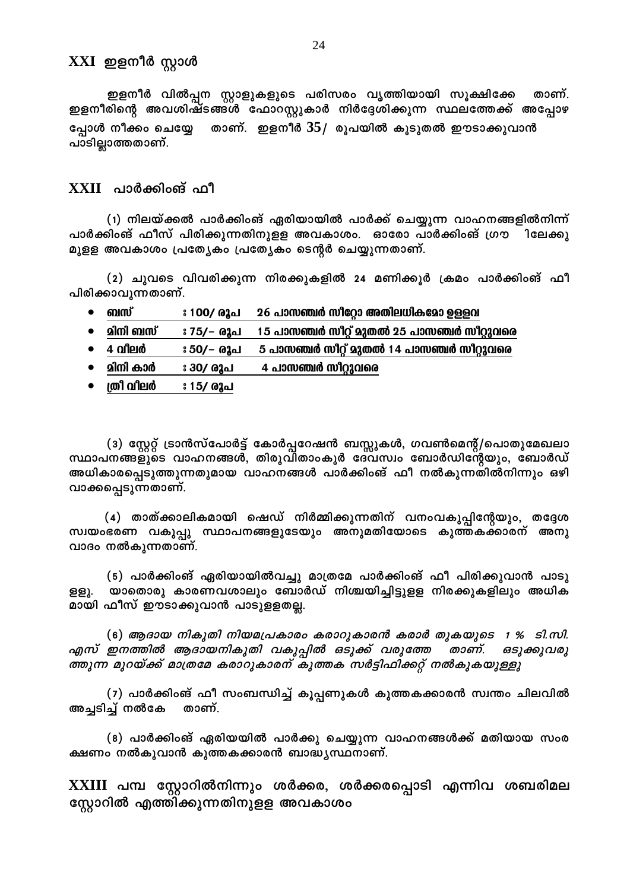### XXI ഇളനീർ സ്റ്റാൾ

ഇളനീർ വിൽപ്പന സ്റ്റാളുകളുടെ പരിസരം വൃത്തിയായി സൂക്ഷിക്കേ താണ്. ഇളനീരിന്റെ അവശിഷ്ടങ്ങൾ ഫോറസ്റ്റുകാർ നിർദ്ദേശിക്കുന്ന സ്ഥലത്തേക്ക് അപ്പോഴ താണ്. ഇളനീർ  $35/$  രൂപയിൽ കൂടുതൽ ഈടാക്കുവാൻ പ്പോൾ നീക്കം ചെയ്യേ പാടില്ലാത്തതാണ്.

### $XXII$  പാർക്കിംങ് ഫീ

(1) നിലയ്ക്കൽ പാർക്കിംങ് ഏരിയായിൽ പാർക്ക് ചെയ്യുന്ന വാഹനങ്ങളിൽനിന്ന് പാർക്കിംങ് ഫീസ് പിരിക്കുന്നതിനുളള അവകാശം. ഓരോ പാർക്കിംങ് ഗ്രൗ ിലേക്കു മുളള അവകാശം പ്രത്യേകം പ്രത്യേകം ടെന്റർ ചെയ്യുന്നതാണ്.

(2) ചുവടെ വിവരിക്കുന്ന നിരക്കുകളിൽ 24 മണിക്കൂർ ക്രമം പാർക്കിംങ് ഫീ പിരിക്കാവുന്നതാണ്.

- ബസ് 26 പാസഞ്ചർ സീറ്റോ അതിലധികമോ ഉള്ളവ ഃ 100**/ രൂപ**  $\bullet$
- മിനി ബസ് 15 പാസഞ്ചർ സീറ്റ് മുതൽ 25 പാസഞ്ചർ സീറ്റുവരെ ് 75∕− രൂപ
- 4 വ<u>ീ</u>ലർ 5 പാസഞ്ചർ സീറ്റ് മുതൽ 14 പാസഞ്ചർ സീറ്റുവരെ ഃ 50/− രൂപ
- മിനി കാർ ഃ 30/ രൂപ 4 പാസഞ്ചർ സീറ്റുവരെ
- ത്രീ വിലർ ഃ 15/ രൂപ

(3) സ്റ്റേറ്റ് ട്രാൻസ്പോർട്ട് കോർപ്പറേഷൻ ബസ്സുകൾ, ഗവൺമെന്റ്/പൊതുമേഖലാ സ്ഥാപനങ്ങളുടെ വാഹനങ്ങൾ, തിരുവിതാംകൂർ ദേവസ്വം ബോർഡിന്റേയും, ബോർഡ് അധികാരപ്പെടുത്തുന്നതുമായ വാഹനങ്ങൾ പാർക്കിംങ് ഫീ നൽകുന്നതിൽനിന്നും ഒഴി വാക്കപ്പെടുന്നതാണ്.

(4) താത്ക്കാലികമായി ഷെഡ് നിർമ്മിക്കുന്നതിന് വനംവകുപ്പിന്റേയും, തദ്ദേശ സ്വയംഭരണ വകുപ്പു സ്ഥാപനങ്ങളുടേയും അനുമതിയോടെ കുത്തകക്കാരന് അനു വാദം നൽകുന്നതാണ്.

(5) പാർക്കിംങ് ഏരിയായിൽവച്ചു മാത്രമേ പാർക്കിംങ് ഫീ പിരിക്കുവാൻ പാടു യാതൊരു കാരണവശാലും ബോർഡ് നിശ്ചയിച്ചിട്ടുളള നിരക്കുകളിലും അധിക ളളൂ. മായി ഫീസ് ഈടാക്കുവാൻ പാടുളളതല്ല.

(6) ആദായ നികുതി നിയമപ്രകാരം കരാറുകാരൻ കരാർ തുകയുടെ 1 % ടി.സി. എസ് ഇനത്തിൽ ആദായനികുതി വകുപ്പിൽ ഒടുക്ക് വരുത്തേ താണ്. ഒടുക്കുവരു ത്തുന്ന മുറയ്ക്ക് മാത്രമേ കരാറുകാരന് കുത്തക സർട്ടിഫിക്കറ്റ് നൽകുകയുള്ളു

(7) പാർക്കിംങ് ഫീ സംബന്ധിച്ച് കൂപ്പണുകൾ കുത്തകക്കാരൻ സ്വന്തം ചിലവിൽ അച്ചടിച്ച് നൽകേ താണ്.

(8) പാർക്കിംങ് ഏരിയയിൽ പാർക്കു ചെയ്യുന്ന വാഹനങ്ങൾക്ക് മതിയായ സംര ക്ഷണം നൽകുവാൻ കുത്തകക്കാരൻ ബാദ്ധ്യസ്ഥനാണ്.

XXIII പമ്പ സ്റ്റോറിൽനിന്നും ശർക്കര, ശർക്കരപ്പൊടി എന്നിവ ശബരിമല സ്റ്റോറിൽ എത്തിക്കുന്നതിനുളള അവകാശം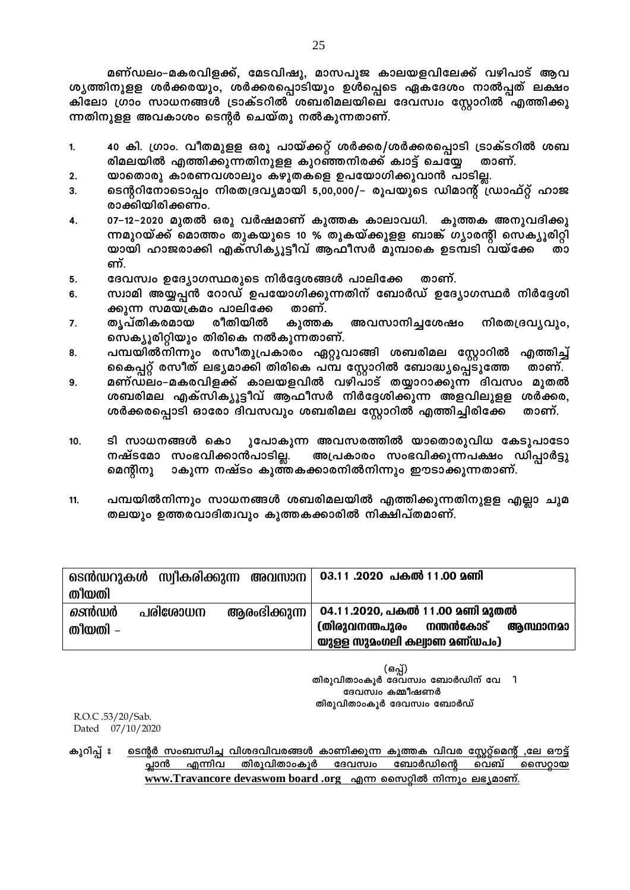- 40 കി. ഗ്രാം. വീതമുളള ഒരു പായ്ക്കറ്റ് ശർക്കര/ശർക്കരപ്പൊടി ട്രാക്ടറിൽ ശബ 1. രിമലയിൽ എത്തിക്കുന്നതിനുളള കുറഞ്ഞനിരക്ക് ക്വാട്ട് ചെയ്യേ താണ്.
- യാതൊരു കാരണവശാലും കഴുതകളെ ഉപയോഗിക്കുവാൻ പാടില്ല. 2.
- ടെന്ററിനോടൊപ്പം നിരതദ്രവ്യമായി 5,00,000/– രൂപയുടെ ഡിമാന്റ് ഡ്രാഫ്റ്റ് ഹാജ  $\mathbf{R}$ രാക്കിയിരിക്കണം.
- 07-12-2020 മുതൽ ഒരു വർഷമാണ് കുത്തക കാലാവധി. കുത്തക അനുവദിക്കു  $\mathbf{A}$ ന്നമുറയ്ക്ക് മൊത്തം തുകയുടെ 10 % തുകയ്ക്കുളള ബാങ്ക് ഗ്യാരന്റി സെക്യൂരിറ്റി യായി ഹാജരാക്കി എക്സിക്യൂട്ടീവ് ആഫീസർ മുമ്പാകെ ഉടമ്പടി വയ്ക്കേ ണ്.
- ദേവസ്വം ഉദ്യോഗസ്ഥരുടെ നിർദ്ദേശങ്ങൾ പാലിക്കേ താണ്. 5.
- സ്വാമി അയ്യപ്പൻ റോഡ് ഉപയോഗിക്കുന്നതിന് ബോർഡ് ഉദ്യോഗസ്ഥർ നിർദ്ദേശി ĥ. ക്കുന്ന സമയക്രമം പാലിക്കേ താണ്.
- രീതിയിൽ തൃപ്തികരമായ കുത്തക അവസാനിച്ചശേഷം നിരതദ്രവ്യവും, 7. സെക്യൂരിറ്റിയും തിരികെ നൽകുന്നതാണ്.
- പമ്പയിൽനിന്നും രസീതുപ്രകാരം ഏറ്റുവാങ്ങി ശബരിമല സ്റ്റോറിൽ 8. എത്തിച്ച് കൈപ്പറ്റ് രസീത് ലഭ്യമാക്കി തിരികെ പമ്പ സ്റ്റോറിൽ ബോദ്ധ്യപ്പെടുത്തേ താണ്.
- മണ്ഡലം-മകരവിളക്ക് കാലയളവിൽ വഴിപാട് തയ്യാറാക്കുന്ന ദിവസം മുതൽ 9. ശബരിമല എക്സിക്യൂട്ടീവ് ആഫീസർ നിർദ്ദേശിക്കുന്ന അളവിലുളള ശർക്കര, ശർക്കരപ്പൊടി ഓരോ ദിവസവും ശബരിമല സ്റ്റോറിൽ എത്തിച്ചിരിക്കേ താണ്.
- ടി സാധനങ്ങൾ കൊ ുപോകുന്ന അവസരത്തിൽ യാതൊരുവിധ കേടുപാടോ 10. നഷ്ടമോ സംഭവിക്കാൻപാടില്ല. അപ്രകാരം സംഭവിക്കുന്നപക്ഷം ഡിപ്പാർട്ടു മെന്റിനു ാകുന്ന നഷ്ടം കുത്തകക്കാരനിൽനിന്നും ഈടാക്കുന്നതാണ്.
- പമ്പയിൽനിന്നും സാധനങ്ങൾ ശബരിമലയിൽ എത്തിക്കുന്നതിനുളള എല്ലാ ചുമ 11. തലയും ഉത്തരവാദിത്വവും കുത്തകക്കാരിൽ നിക്ഷിപ്തമാണ്.

|               |         |              | ടെൻഡറുകൾ സ്വീകരിക്കുന്ന അവസാന  03.11 .2020 പകൽ 11.00 മണി |
|---------------|---------|--------------|----------------------------------------------------------|
| തിയതി         |         |              |                                                          |
| <i>ടെ</i> ൻഡർ | പരിശോധന | ആരംഭിക്കുന്ന | 04.11.2020, പകൽ 11.00 മണി മുതൽ                           |
| തിയതി –       |         |              | (തിരുവനന്തപുരം നന്തൻകോട്<br>ആസ്ഥാനമാ                     |
|               |         |              | യുള്ള സുമംഗലി കല്വാണ മണ്ഡപം)                             |

(ഒപ്പ്) തിരുവിതാംകൂർ ദേവസ്വം ബോർഡിന് വേ ി ദേവസ്വം കമ്മീഷണർ തിരുവിതാംകൂർ ദേവസ്വം ബോർഡ്

R.O.C.53/20/Sab. Dated 07/10/2020

ടെന്റർ സംബന്ധിച്ച വിശദവിവരങ്ങൾ കാണിക്കുന്ന കുത്തക വിവര സ്റ്റേറ്റ്മെന്റ് ,ലേ ഔട്ട് കുറിപ്പ് ഃ <u>തിരുവിതാംകൂർ ദേവസ്വം</u> <u>പ്ലാൻ </u> ബോർഡിന്റെ എന്നിവ വെബ് സൈറ്റായ www.Travancore devaswom board .org എന്ന സൈറ്റിൽ നിന്നും ലഭ്യമാണ്.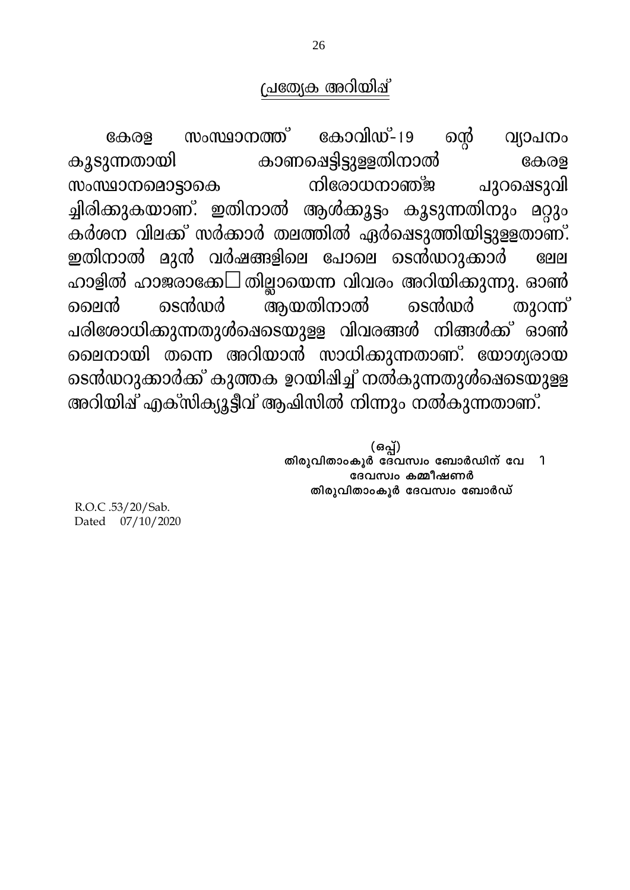# പ്രതേക്ര അറിയിപ്പ്

കോവിഡ്-19 ഐ് സംസ്ഥാനത്ത് വ്യാപനം കേരള കാണപ്പെട്ടിട്ടുള്ളതിനാൽ കൂടുന്നതായി കേരള നിരോധനാഞ്ജ സംസ്ഥാനമൊട്ടാകെ പുറഷെടുവി ച്ചിരിക്കുകയാണ്. ഇതിനാൽ ആൾക്കൂട്ടം കൂടുന്നതിനും മറ്റും കർശന വിലക്ക് സർക്കാർ തലത്തിൽ ഏർഷെടുത്തിയിട്ടുളളതാണ്. ഇതിനാൽ മുൻ വർഷങ്ങളിലെ പോലെ ടെൻഡറുക്കാർ  $B<sub>0</sub>$ ഹാളിൽ ഹാജരാക്കേ- തില്ലായെന്ന വിവരം അറിയിക്കുന്നു. ഓൺ അയതിനാൽ ടെൻസർ ടെൻസർ തുറന്ന് ലൈൻ പരിശോധിക്കുന്നതുൾഷെടെയുളള വിവരങ്ങൾ നിങ്ങൾക്ക് ഓൺ ലൈനായി തന്നെ അറിയാൻ സാധിക്കുന്നതാണ്. യോഗ്യരായ ടെൻഡറുക്കാർക്ക് കുത്തക ഉറയിഷിച്ച് നൽകുന്നതുൾഷെടെയുളള അറിയിഷ് എക്സിക്യൂട്ടീവ് ആഷിസിൽ നിന്നും നൽകുന്നതാണ്.

> (ഒപ്പ്) തിരുവിതാംകൂർ ദേവസ്വം ബോർഡിന് വേ  $\mathbf{\hat{1}}$ ദേവസ്വം കമ്മീഷണർ തിരുവിതാംകൂർ ദേവസ്വം ബോർഡ്

R.O.C.53/20/Sab. Dated 07/10/2020